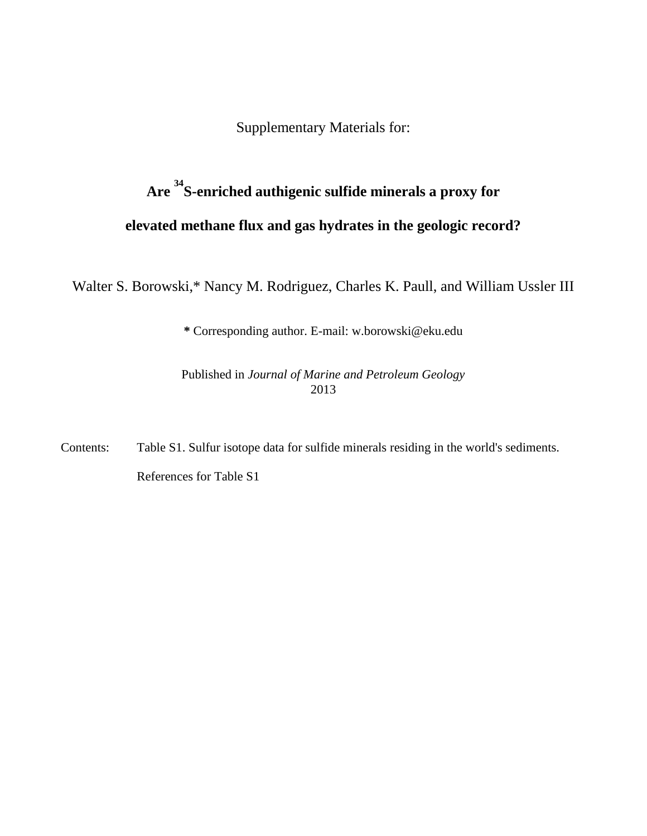Supplementary Materials for:

# **Are <sup>34</sup>S-enriched authigenic sulfide minerals a proxy for elevated methane flux and gas hydrates in the geologic record?**

Walter S. Borowski,\* Nancy M. Rodriguez, Charles K. Paull, and William Ussler III

**\*** Corresponding author. E-mail: w.borowski@eku.edu

Published in *Journal of Marine and Petroleum Geology* 2013

Contents: Table S1. Sulfur isotope data for sulfide minerals residing in the world's sediments. References for Table S1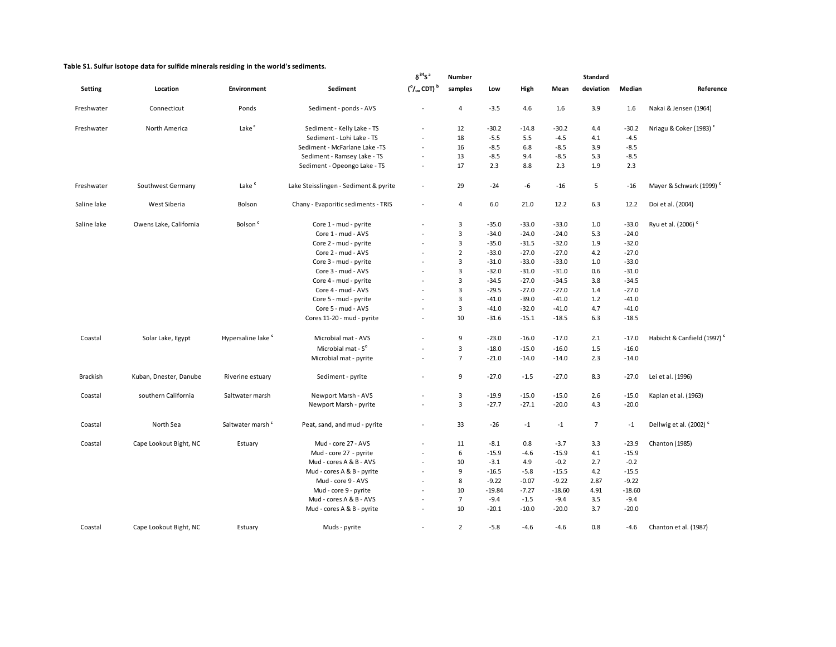|                 |                        |                               |                                       | $\delta^{34}S^a$                          | <b>Number</b>  |          |         |          | <b>Standard</b> |          |                                        |
|-----------------|------------------------|-------------------------------|---------------------------------------|-------------------------------------------|----------------|----------|---------|----------|-----------------|----------|----------------------------------------|
| Setting         | Location               | Environment                   | Sediment                              | $(^{\circ}/_{\circ\circ}$ CDT) $^{\rm b}$ | samples        | Low      | High    | Mean     | deviation       | Median   | Reference                              |
| Freshwater      | Connecticut            | Ponds                         | Sediment - ponds - AVS                |                                           | 4              | $-3.5$   | 4.6     | 1.6      | 3.9             | 1.6      | Nakai & Jensen (1964)                  |
| Freshwater      | North America          | Lake <sup>c</sup>             | Sediment - Kelly Lake - TS            |                                           | 12             | $-30.2$  | $-14.8$ | $-30.2$  | 4.4             | $-30.2$  | Nriagu & Coker (1983) <sup>c</sup>     |
|                 |                        |                               | Sediment - Lohi Lake - TS             | $\sim$                                    | 18             | $-5.5$   | 5.5     | $-4.5$   | 4.1             | $-4.5$   |                                        |
|                 |                        |                               | Sediment - McFarlane Lake -TS         | $\sim$                                    | 16             | $-8.5$   | 6.8     | $-8.5$   | 3.9             | $-8.5$   |                                        |
|                 |                        |                               | Sediment - Ramsey Lake - TS           | $\sim$                                    | 13             | $-8.5$   | 9.4     | $-8.5$   | 5.3             | $-8.5$   |                                        |
|                 |                        |                               | Sediment - Opeongo Lake - TS          | $\blacksquare$                            | 17             | 2.3      | 8.8     | 2.3      | 1.9             | 2.3      |                                        |
| Freshwater      | Southwest Germany      | Lake <sup>c</sup>             | Lake Steisslingen - Sediment & pyrite | $\overline{\phantom{a}}$                  | 29             | $-24$    | -6      | $-16$    | 5               | $-16$    | Mayer & Schwark (1999) <sup>c</sup>    |
| Saline lake     | West Siberia           | Bolson                        | Chany - Evaporitic sediments - TRIS   | $\sim$                                    | 4              | 6.0      | 21.0    | 12.2     | 6.3             | 12.2     | Doi et al. (2004)                      |
| Saline lake     | Owens Lake, California | Bolson <sup>c</sup>           | Core 1 - mud - pyrite                 | $\sim$                                    | 3              | $-35.0$  | $-33.0$ | $-33.0$  | 1.0             | $-33.0$  | Ryu et al. (2006) <sup>c</sup>         |
|                 |                        |                               | Core 1 - mud - AVS                    | $\sim$                                    | 3              | $-34.0$  | $-24.0$ | $-24.0$  | 5.3             | $-24.0$  |                                        |
|                 |                        |                               | Core 2 - mud - pyrite                 | $\sim$                                    | 3              | $-35.0$  | $-31.5$ | $-32.0$  | 1.9             | $-32.0$  |                                        |
|                 |                        |                               | Core 2 - mud - AVS                    | $\sim$                                    | $\overline{2}$ | $-33.0$  | $-27.0$ | $-27.0$  | 4.2             | $-27.0$  |                                        |
|                 |                        |                               | Core 3 - mud - pyrite                 |                                           | 3              | $-31.0$  | $-33.0$ | $-33.0$  | 1.0             | $-33.0$  |                                        |
|                 |                        |                               | Core 3 - mud - AVS                    | $\sim$                                    | 3              | $-32.0$  | $-31.0$ | $-31.0$  | 0.6             | $-31.0$  |                                        |
|                 |                        |                               | Core 4 - mud - pyrite                 |                                           | 3              | $-34.5$  | $-27.0$ | $-34.5$  | 3.8             | $-34.5$  |                                        |
|                 |                        |                               | Core 4 - mud - AVS                    | $\sim$                                    | 3              | $-29.5$  | $-27.0$ | $-27.0$  | 1.4             | $-27.0$  |                                        |
|                 |                        |                               | Core 5 - mud - pyrite                 |                                           | 3              | $-41.0$  | $-39.0$ | $-41.0$  | 1.2             | $-41.0$  |                                        |
|                 |                        |                               | Core 5 - mud - AVS                    | $\sim$                                    | 3              | $-41.0$  | $-32.0$ | $-41.0$  | 4.7             | $-41.0$  |                                        |
|                 |                        |                               | Cores 11-20 - mud - pyrite            | $\sim$                                    | 10             | $-31.6$  | $-15.1$ | $-18.5$  | 6.3             | $-18.5$  |                                        |
| Coastal         | Solar Lake, Egypt      | Hypersaline lake <sup>c</sup> | Microbial mat - AVS                   | ÷.                                        | 9              | $-23.0$  | $-16.0$ | $-17.0$  | 2.1             | $-17.0$  | Habicht & Canfield (1997) <sup>c</sup> |
|                 |                        |                               | Microbial mat - S <sup>o</sup>        |                                           | 3              | $-18.0$  | $-15.0$ | $-16.0$  | 1.5             | $-16.0$  |                                        |
|                 |                        |                               | Microbial mat - pyrite                | $\sim$                                    | $\overline{7}$ | $-21.0$  | $-14.0$ | $-14.0$  | 2.3             | $-14.0$  |                                        |
| <b>Brackish</b> | Kuban, Dnester, Danube | Riverine estuary              | Sediment - pyrite                     | $\sim$                                    | 9              | $-27.0$  | $-1.5$  | $-27.0$  | 8.3             | $-27.0$  | Lei et al. (1996)                      |
| Coastal         | southern California    | Saltwater marsh               | Newport Marsh - AVS                   | $\sim$                                    | 3              | $-19.9$  | $-15.0$ | $-15.0$  | 2.6             | $-15.0$  | Kaplan et al. (1963)                   |
|                 |                        |                               | Newport Marsh - pyrite                |                                           | 3              | $-27.7$  | $-27.1$ | $-20.0$  | 4.3             | $-20.0$  |                                        |
| Coastal         | North Sea              | Saltwater marsh <sup>c</sup>  | Peat, sand, and mud - pyrite          | $\overline{\phantom{a}}$                  | 33             | $-26$    | $-1$    | $-1$     | $\overline{7}$  | $-1$     | Dellwig et al. (2002) <sup>c</sup>     |
| Coastal         | Cape Lookout Bight, NC | Estuary                       | Mud - core 27 - AVS                   | $\sim$                                    | 11             | $-8.1$   | 0.8     | $-3.7$   | 3.3             | $-23.9$  | Chanton (1985)                         |
|                 |                        |                               | Mud - core 27 - pyrite                |                                           | 6              | $-15.9$  | $-4.6$  | $-15.9$  | 4.1             | $-15.9$  |                                        |
|                 |                        |                               | Mud - cores A & B - AVS               | $\sim$                                    | 10             | $-3.1$   | 4.9     | $-0.2$   | 2.7             | $-0.2$   |                                        |
|                 |                        |                               | Mud - cores A & B - pyrite            |                                           | 9              | $-16.5$  | $-5.8$  | $-15.5$  | 4.2             | $-15.5$  |                                        |
|                 |                        |                               | Mud - core 9 - AVS                    | $\sim$                                    | 8              | $-9.22$  | $-0.07$ | $-9.22$  | 2.87            | $-9.22$  |                                        |
|                 |                        |                               | Mud - core 9 - pyrite                 |                                           | 10             | $-19.84$ | $-7.27$ | $-18.60$ | 4.91            | $-18.60$ |                                        |
|                 |                        |                               | Mud - cores A & B - AVS               | $\sim$                                    | $\overline{7}$ | $-9.4$   | $-1.5$  | $-9.4$   | 3.5             | $-9.4$   |                                        |
|                 |                        |                               | Mud - cores A & B - pyrite            | $\sim$                                    | 10             | $-20.1$  | $-10.0$ | $-20.0$  | 3.7             | $-20.0$  |                                        |
| Coastal         | Cape Lookout Bight, NC | Estuary                       | Muds - pyrite                         | $\sim$                                    | $\overline{2}$ | $-5.8$   | $-4.6$  | $-4.6$   | 0.8             | $-4.6$   | Chanton et al. (1987)                  |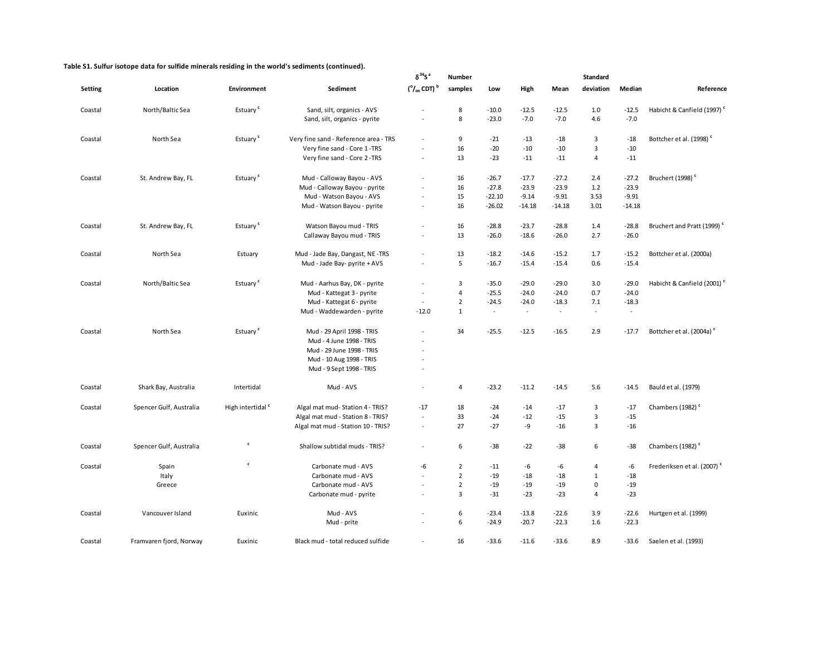|         |                         |                              |                                       | $\delta^{34}S^a$                          | Number         |          |          |          | <b>Standard</b> |          |                                        |
|---------|-------------------------|------------------------------|---------------------------------------|-------------------------------------------|----------------|----------|----------|----------|-----------------|----------|----------------------------------------|
| Setting | Location                | Environment                  | Sediment                              | $(^{\circ}/_{\circ\circ}$ CDT) $^{\rm b}$ | samples        | Low      | High     | Mean     | deviation       | Median   | Reference                              |
| Coastal | North/Baltic Sea        | Estuary <sup>c</sup>         | Sand, silt, organics - AVS            |                                           | 8              | $-10.0$  | $-12.5$  | $-12.5$  | 1.0             | $-12.5$  | Habicht & Canfield (1997) <sup>c</sup> |
|         |                         |                              | Sand, silt, organics - pyrite         | $\sim$                                    | 8              | $-23.0$  | $-7.0$   | $-7.0$   | 4.6             | $-7.0$   |                                        |
| Coastal | North Sea               | Estuary <sup>c</sup>         | Very fine sand - Reference area - TRS | $\ddot{\phantom{1}}$                      | 9              | $-21$    | $-13$    | $-18$    | $\overline{3}$  | $-18$    | Bottcher et al. (1998) <sup>c</sup>    |
|         |                         |                              | Very fine sand - Core 1-TRS           | L,                                        | 16             | $-20$    | $-10$    | $-10$    | $\overline{3}$  | $-10$    |                                        |
|         |                         |                              | Very fine sand - Core 2 -TRS          | $\sim$                                    | 13             | $-23$    | $-11$    | $-11$    | $\overline{4}$  | $-11$    |                                        |
| Coastal | St. Andrew Bay, FL      | Estuary <sup>c</sup>         | Mud - Calloway Bayou - AVS            | $\overline{a}$                            | 16             | $-26.7$  | $-17.7$  | $-27.2$  | 2.4             | $-27.2$  | Bruchert (1998) <sup>c</sup>           |
|         |                         |                              | Mud - Calloway Bayou - pyrite         |                                           | 16             | $-27.8$  | $-23.9$  | $-23.9$  | 1.2             | $-23.9$  |                                        |
|         |                         |                              | Mud - Watson Bayou - AVS              |                                           | 15             | $-22.10$ | $-9.14$  | $-9.91$  | 3.53            | $-9.91$  |                                        |
|         |                         |                              | Mud - Watson Bayou - pyrite           |                                           | 16             | $-26.02$ | $-14.18$ | $-14.18$ | 3.01            | $-14.18$ |                                        |
| Coastal | St. Andrew Bay, FL      | Estuary <sup>c</sup>         | Watson Bayou mud - TRIS               | $\tilde{\phantom{a}}$                     | 16             | $-28.8$  | $-23.7$  | $-28.8$  | 1.4             | $-28.8$  | Bruchert and Pratt (1999) <sup>c</sup> |
|         |                         |                              | Callaway Bayou mud - TRIS             | ÷,                                        | 13             | $-26.0$  | $-18.6$  | $-26.0$  | 2.7             | $-26.0$  |                                        |
| Coastal | North Sea               | Estuary                      | Mud - Jade Bay, Dangast, NE -TRS      | $\sim$                                    | 13             | $-18.2$  | $-14.6$  | $-15.2$  | 1.7             | $-15.2$  | Bottcher et al. (2000a)                |
|         |                         |                              | Mud - Jade Bay- pyrite + AVS          |                                           | 5              | $-16.7$  | $-15.4$  | $-15.4$  | 0.6             | $-15.4$  |                                        |
| Coastal | North/Baltic Sea        | Estuary <sup>c</sup>         | Mud - Aarhus Bay, DK - pyrite         | $\sim$                                    | 3              | $-35.0$  | $-29.0$  | $-29.0$  | 3.0             | $-29.0$  | Habicht & Canfield (2001) <sup>c</sup> |
|         |                         |                              | Mud - Kattegat 3 - pyrite             | $\sim$                                    | $\overline{4}$ | $-25.5$  | $-24.0$  | $-24.0$  | 0.7             | $-24.0$  |                                        |
|         |                         |                              | Mud - Kattegat 6 - pyrite             | $\sim$                                    | $\overline{2}$ | $-24.5$  | $-24.0$  | $-18.3$  | 7.1             | $-18.3$  |                                        |
|         |                         |                              | Mud - Waddewarden - pyrite            | $-12.0$                                   | $\mathbf{1}$   | $\omega$ | $\sim$   | $\sim$   | $\sim$          | $\sim$   |                                        |
| Coastal | North Sea               | Estuary <sup>c</sup>         | Mud - 29 April 1998 - TRIS            |                                           | 34             | $-25.5$  | $-12.5$  | $-16.5$  | 2.9             | $-17.7$  | Bottcher et al. (2004a) <sup>c</sup>   |
|         |                         |                              | Mud - 4 June 1998 - TRIS              | L,                                        |                |          |          |          |                 |          |                                        |
|         |                         |                              | Mud - 29 June 1998 - TRIS             | L.                                        |                |          |          |          |                 |          |                                        |
|         |                         |                              | Mud - 10 Aug 1998 - TRIS              |                                           |                |          |          |          |                 |          |                                        |
|         |                         |                              | Mud - 9 Sept 1998 - TRIS              | $\ddot{\phantom{1}}$                      |                |          |          |          |                 |          |                                        |
| Coastal | Shark Bay, Australia    | Intertidal                   | Mud - AVS                             | $\centering \label{eq:reduced}$           | $\overline{a}$ | $-23.2$  | $-11.2$  | $-14.5$  | 5.6             | $-14.5$  | Bauld et al. (1979)                    |
| Coastal | Spencer Gulf, Australia | High intertidal <sup>c</sup> | Algal mat mud- Station 4 - TRIS?      | $-17$                                     | 18             | -24      | $-14$    | $-17$    | 3               | $-17$    | Chambers (1982) <sup>c</sup>           |
|         |                         |                              | Algal mat mud - Station 8 - TRIS?     | $\sim$                                    | 33             | $-24$    | $-12$    | $-15$    | 3               | $-15$    |                                        |
|         |                         |                              | Algal mat mud - Station 10 - TRIS?    | $\sim$                                    | 27             | $-27$    | -9       | $-16$    | $\overline{3}$  | $-16$    |                                        |
| Coastal | Spencer Gulf, Australia | c                            | Shallow subtidal muds - TRIS?         | $\tilde{\phantom{a}}$                     | 6              | $-38$    | $-22$    | $-38$    | 6               | $-38$    | Chambers (1982) <sup>c</sup>           |
| Coastal | Spain                   | $\mathbf c$                  | Carbonate mud - AVS                   | -6                                        | $\overline{2}$ | $-11$    | -6       | -6       | $\overline{4}$  | -6       | Frederiksen et al. (2007) <sup>c</sup> |
|         | Italy                   |                              | Carbonate mud - AVS                   | $\overline{a}$                            | $\overline{2}$ | $-19$    | $-18$    | $-18$    | $1\,$           | $-18$    |                                        |
|         | Greece                  |                              | Carbonate mud - AVS                   | $\sim$                                    | $\overline{2}$ | $-19$    | $-19$    | $-19$    | $\mathbf 0$     | $-19$    |                                        |
|         |                         |                              | Carbonate mud - pyrite                | $\tilde{\phantom{a}}$                     | $\overline{3}$ | $-31$    | $-23$    | $-23$    | $\overline{4}$  | $-23$    |                                        |
| Coastal | Vancouver Island        | Euxinic                      | Mud - AVS                             |                                           | 6              | $-23.4$  | $-13.8$  | $-22.6$  | 3.9             | $-22.6$  | Hurtgen et al. (1999)                  |
|         |                         |                              | Mud - prite                           |                                           | 6              | $-24.9$  | $-20.7$  | $-22.3$  | 1.6             | $-22.3$  |                                        |
| Coastal | Framvaren fjord, Norway | Euxinic                      | Black mud - total reduced sulfide     |                                           | 16             | $-33.6$  | $-11.6$  | $-33.6$  | 8.9             | $-33.6$  | Saelen et al. (1993)                   |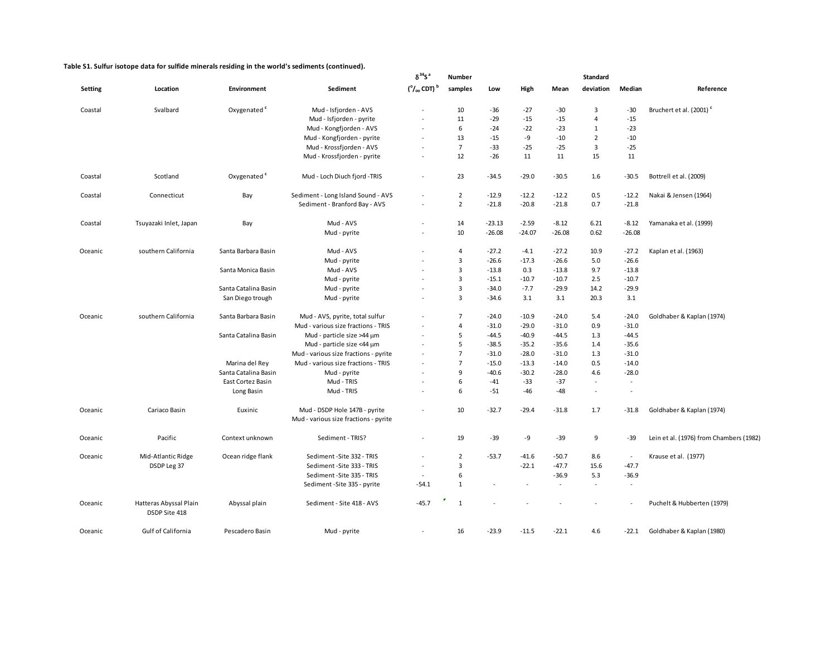|         |                                         |                         |                                                                        | $\delta^{34}$ S <sup>a</sup>          | <b>Number</b>  |          |          |                          | <b>Standard</b> |                |                                         |
|---------|-----------------------------------------|-------------------------|------------------------------------------------------------------------|---------------------------------------|----------------|----------|----------|--------------------------|-----------------|----------------|-----------------------------------------|
| Setting | Location                                | Environment             | Sediment                                                               | $(°/$ <sub>00</sub> CDT) <sup>b</sup> | samples        | Low      | High     | Mean                     | deviation       | Median         | Reference                               |
| Coastal | Svalbard                                | Oxygenated <sup>c</sup> | Mud - Isfjorden - AVS                                                  |                                       | 10             | $-36$    | $-27$    | $-30$                    | 3               | $-30$          | Bruchert et al. (2001) <sup>c</sup>     |
|         |                                         |                         | Mud - Isfjorden - pyrite                                               | $\sim$                                | 11             | $-29$    | $-15$    | $-15$                    | 4               | $-15$          |                                         |
|         |                                         |                         | Mud - Kongfjorden - AVS                                                | $\sim$                                | 6              | $-24$    | $-22$    | $-23$                    | 1               | $-23$          |                                         |
|         |                                         |                         | Mud - Kongfjorden - pyrite                                             |                                       | 13             | $-15$    | -9       | $-10$                    | $\overline{2}$  | $-10$          |                                         |
|         |                                         |                         | Mud - Krossfjorden - AVS                                               | $\sim$                                | $\overline{7}$ | $-33$    | $-25$    | -25                      | 3               | $-25$          |                                         |
|         |                                         |                         | Mud - Krossfjorden - pyrite                                            | $\sim$                                | 12             | $-26$    | 11       | 11                       | 15              | 11             |                                         |
| Coastal | Scotland                                | Oxygenated <sup>c</sup> | Mud - Loch Diuch fjord -TRIS                                           | $\sim$                                | 23             | $-34.5$  | $-29.0$  | $-30.5$                  | 1.6             | $-30.5$        | Bottrell et al. (2009)                  |
| Coastal | Connecticut                             | Bay                     | Sediment - Long Island Sound - AVS                                     | $\sim$                                | $\overline{2}$ | $-12.9$  | $-12.2$  | $-12.2$                  | 0.5             | $-12.2$        | Nakai & Jensen (1964)                   |
|         |                                         |                         | Sediment - Branford Bay - AVS                                          |                                       | $\overline{2}$ | $-21.8$  | $-20.8$  | $-21.8$                  | 0.7             | $-21.8$        |                                         |
| Coastal | Tsuyazaki Inlet, Japan                  | Bay                     | Mud - AVS                                                              | $\sim$                                | 14             | $-23.13$ | $-2.59$  | $-8.12$                  | 6.21            | $-8.12$        | Yamanaka et al. (1999)                  |
|         |                                         |                         | Mud - pyrite                                                           | $\sim$                                | 10             | $-26.08$ | $-24.07$ | $-26.08$                 | 0.62            | $-26.08$       |                                         |
| Oceanic | southern California                     | Santa Barbara Basin     | Mud - AVS                                                              |                                       | 4              | $-27.2$  | -4.1     | $-27.2$                  | 10.9            | $-27.2$        | Kaplan et al. (1963)                    |
|         |                                         |                         | Mud - pyrite                                                           |                                       | 3              | $-26.6$  | $-17.3$  | $-26.6$                  | 5.0             | $-26.6$        |                                         |
|         |                                         | Santa Monica Basin      | Mud - AVS                                                              | $\sim$                                | 3              | $-13.8$  | 0.3      | $-13.8$                  | 9.7             | $-13.8$        |                                         |
|         |                                         |                         | Mud - pyrite                                                           |                                       | 3              | $-15.1$  | $-10.7$  | $-10.7$                  | 2.5             | $-10.7$        |                                         |
|         |                                         | Santa Catalina Basin    | Mud - pyrite                                                           |                                       | 3              | $-34.0$  | $-7.7$   | $-29.9$                  | 14.2            | $-29.9$        |                                         |
|         |                                         | San Diego trough        | Mud - pyrite                                                           |                                       | $\overline{3}$ | $-34.6$  | 3.1      | 3.1                      | 20.3            | 3.1            |                                         |
| Oceanic | southern California                     | Santa Barbara Basin     | Mud - AVS, pyrite, total sulfur                                        |                                       | $\overline{7}$ | $-24.0$  | $-10.9$  | -24.0                    | 5.4             | $-24.0$        | Goldhaber & Kaplan (1974)               |
|         |                                         |                         | Mud - various size fractions - TRIS                                    |                                       | 4              | $-31.0$  | $-29.0$  | $-31.0$                  | 0.9             | $-31.0$        |                                         |
|         |                                         | Santa Catalina Basin    | Mud - particle size >44 µm                                             | $\sim$                                | 5              | $-44.5$  | $-40.9$  | -44.5                    | 1.3             | $-44.5$        |                                         |
|         |                                         |                         | Mud - particle size <44 µm                                             |                                       | 5              | $-38.5$  | $-35.2$  | $-35.6$                  | 1.4             | $-35.6$        |                                         |
|         |                                         |                         | Mud - various size fractions - pyrite                                  | $\sim$                                | $\overline{7}$ | $-31.0$  | $-28.0$  | $-31.0$                  | 1.3             | $-31.0$        |                                         |
|         |                                         | Marina del Rey          | Mud - various size fractions - TRIS                                    |                                       | $\overline{7}$ | $-15.0$  | $-13.3$  | $-14.0$                  | 0.5             | $-14.0$        |                                         |
|         |                                         | Santa Catalina Basin    | Mud - pyrite                                                           |                                       | 9              | $-40.6$  | $-30.2$  | $-28.0$                  | 4.6             | $-28.0$        |                                         |
|         |                                         | East Cortez Basin       | Mud - TRIS                                                             |                                       | 6              | $-41$    | $-33$    | $-37$                    |                 | $\blacksquare$ |                                         |
|         |                                         | Long Basin              | Mud - TRIS                                                             |                                       | 6              | $-51$    | $-46$    | -48                      |                 | $\sim$         |                                         |
| Oceanic | Cariaco Basin                           | Euxinic                 | Mud - DSDP Hole 147B - pyrite<br>Mud - various size fractions - pyrite |                                       | 10             | $-32.7$  | $-29.4$  | $-31.8$                  | 1.7             | $-31.8$        | Goldhaber & Kaplan (1974)               |
| Oceanic | Pacific                                 | Context unknown         | Sediment - TRIS?                                                       | $\sim$                                | 19             | $-39$    | -9       | -39                      | 9               | $-39$          | Lein et al. (1976) from Chambers (1982) |
| Oceanic | Mid-Atlantic Ridge                      | Ocean ridge flank       | Sediment - Site 332 - TRIS                                             | $\sim$                                | $\overline{2}$ | $-53.7$  | $-41.6$  | $-50.7$                  | 8.6             | $\sim$         | Krause et al. (1977)                    |
|         | DSDP Leg 37                             |                         | Sediment - Site 333 - TRIS                                             | $\sim$                                | 3              |          | $-22.1$  | -47.7                    | 15.6            | $-47.7$        |                                         |
|         |                                         |                         | Sediment - Site 335 - TRIS                                             | $\sim$                                | 6              |          |          | $-36.9$                  | 5.3             | $-36.9$        |                                         |
|         |                                         |                         | Sediment - Site 335 - pyrite                                           | $-54.1$                               | $\mathbf{1}$   |          |          | $\overline{\phantom{a}}$ |                 | $\sim$         |                                         |
| Oceanic | Hatteras Abyssal Plain<br>DSDP Site 418 | Abyssal plain           | Sediment - Site 418 - AVS                                              | $-45.7$                               | $\mathbf{1}$   |          |          |                          |                 | $\sim$         | Puchelt & Hubberten (1979)              |
| Oceanic | <b>Gulf of California</b>               | Pescadero Basin         | Mud - pyrite                                                           |                                       | 16             | $-23.9$  | $-11.5$  | $-22.1$                  | 4.6             | $-22.1$        | Goldhaber & Kaplan (1980)               |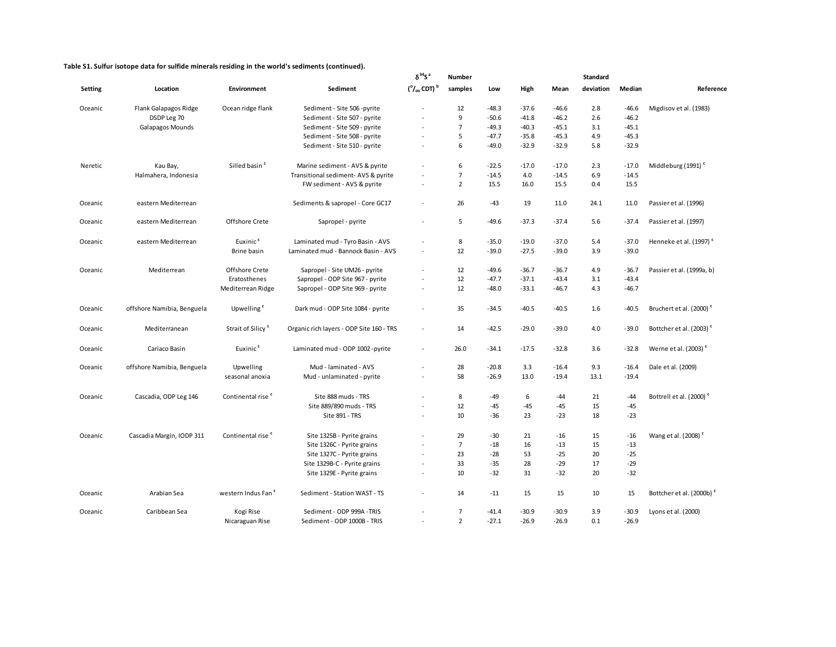|                |                            |                               |                                          | $\delta^{34}$ S <sup>a</sup> | <b>Number</b>  |         |         |         | Standard  |         |                                     |  |
|----------------|----------------------------|-------------------------------|------------------------------------------|------------------------------|----------------|---------|---------|---------|-----------|---------|-------------------------------------|--|
| <b>Setting</b> | Location                   | Environment                   | Sediment                                 | $(°/000$ CDT) $^b$           | samples        | Low     | High    | Mean    | deviation | Median  | Reference                           |  |
| Oceanic        | Flank Galapagos Ridge      | Ocean ridge flank             | Sediment - Site 506 - pyrite             |                              | 12             | $-48.3$ | $-37.6$ | $-46.6$ | 2.8       | $-46.6$ | Migdisov et al. (1983)              |  |
|                | DSDP Leg 70                |                               | Sediment - Site 507 - pyrite             | ÷.                           | 9              | $-50.6$ | $-41.8$ | $-46.2$ | 2.6       | $-46.2$ |                                     |  |
|                | Galapagos Mounds           |                               | Sediment - Site 509 - pyrite             |                              | $\overline{7}$ | $-49.3$ | $-40.3$ | $-45.1$ | 3.1       | $-45.1$ |                                     |  |
|                |                            |                               | Sediment - Site 508 - pyrite             | ÷,                           | 5              | $-47.7$ | $-35.8$ | $-45.3$ | 4.9       | $-45.3$ |                                     |  |
|                |                            |                               | Sediment - Site 510 - pyrite             |                              | 6              | $-49.0$ | $-32.9$ | $-32.9$ | 5.8       | $-32.9$ |                                     |  |
| Neretic        | Kau Bay,                   | Silled basin <sup>c</sup>     | Marine sediment - AVS & pyrite           |                              | 6              | $-22.5$ | $-17.0$ | $-17.0$ | 2.3       | $-17.0$ | Middleburg (1991) <sup>c</sup>      |  |
|                | Halmahera, Indonesia       |                               | Transitional sediment-AVS & pyrite       |                              | $\overline{7}$ | $-14.5$ | 4.0     | $-14.5$ | 6.9       | $-14.5$ |                                     |  |
|                |                            |                               | FW sediment - AVS & pyrite               | ÷,                           | $\overline{2}$ | 15.5    | 16.0    | 15.5    | 0.4       | 15.5    |                                     |  |
| Oceanic        | eastern Mediterrean        |                               | Sediments & sapropel - Core GC17         | L.                           | 26             | $-43$   | 19      | 11.0    | 24.1      | 11.0    | Passier et al. (1996)               |  |
| Oceanic        | eastern Mediterrean        | Offshore Crete                | Sapropel - pyrite                        | L.                           | 5              | $-49.6$ | $-37.3$ | $-37.4$ | 5.6       | $-37.4$ | Passier et al. (1997)               |  |
| Oceanic        | eastern Mediterrean        | Euxinic <sup>c</sup>          | Laminated mud - Tyro Basin - AVS         | ÷,                           | 8              | $-35.0$ | $-19.0$ | $-37.0$ | 5.4       | $-37.0$ | Henneke et al. (1997) <sup>c</sup>  |  |
|                |                            | Brine basin                   | Laminated mud - Bannock Basin - AVS      | $\sim$                       | 12             | $-39.0$ | $-27.5$ | $-39.0$ | 3.9       | $-39.0$ |                                     |  |
| Oceanic        | Mediterrean                | Offshore Crete                | Sapropel - Site UM26 - pyrite            | $\frac{1}{2}$                | 12             | $-49.6$ | $-36.7$ | $-36.7$ | 4.9       | $-36.7$ | Passier et al. (1999a, b)           |  |
|                |                            | Eratosthenes                  | Sapropel - ODP Site 967 - pyrite         | ä,                           | 12             | $-47.7$ | $-37.1$ | $-43.4$ | 3.1       | $-43.4$ |                                     |  |
|                |                            | Mediterrean Ridge             | Sapropel - ODP Site 969 - pyrite         | L.                           | 12             | $-48.0$ | $-33.1$ | $-46.7$ | 4.3       | $-46.7$ |                                     |  |
| Oceanic        | offshore Namibia, Benguela | Upwelling <sup>c</sup>        | Dark mud - ODP Site 1084 - pyrite        | ÷,                           | 35             | $-34.5$ | $-40.5$ | $-40.5$ | 1.6       | $-40.5$ | Bruchert et al. (2000) <sup>c</sup> |  |
| Oceanic        | Mediterranean              | Strait of Silicy <sup>c</sup> | Organic rich layers - ODP Site 160 - TRS | $\sim$                       | 14             | $-42.5$ | $-29.0$ | $-39.0$ | 4.0       | $-39.0$ | Bottcher et al. (2003) <sup>c</sup> |  |
| Oceanic        | Cariaco Basin              | Euxinic <sup>c</sup>          | Laminated mud - ODP 1002 -pyrite         | $\mathcal{L}_{\mathcal{A}}$  | 26.0           | $-34.1$ | $-17.5$ | $-32.8$ | 3.6       | $-32.8$ | Werne et al. (2003) <sup>c</sup>    |  |
| Oceanic        | offshore Namibia, Benguela | Upwelling                     | Mud - laminated - AVS                    | L.                           | 28             | $-20.8$ | 3.3     | $-16.4$ | 9.3       | $-16.4$ | Dale et al. (2009)                  |  |
|                |                            | seasonal anoxia               | Mud - unlaminated - pyrite               | ÷,                           | 58             | $-26.9$ | 13.0    | $-19.4$ | 13.1      | $-19.4$ |                                     |  |
| Oceanic        | Cascadia, ODP Leg 146      | Continental rise <sup>c</sup> | Site 888 muds - TRS                      | ٠                            | 8              | $-49$   | 6       | $-44$   | 21        | -44     | Bottrell et al. (2000) <sup>c</sup> |  |
|                |                            |                               | Site 889/890 muds - TRS                  |                              | 12             | $-45$   | $-45$   | -45     | 15        | $-45$   |                                     |  |
|                |                            |                               | Site 891 - TRS                           | ÷,                           | 10             | $-36$   | 23      | $-23$   | 18        | $-23$   |                                     |  |
| Oceanic        | Cascadia Margin, IODP 311  | Continental rise <sup>c</sup> | Site 1325B - Pyrite grains               |                              | 29             | $-30$   | 21      | $-16$   | 15        | $-16$   | Wang et al. (2008) <sup>c</sup>     |  |
|                |                            |                               | Site 1326C - Pyrite grains               | $\sim$                       | $\overline{7}$ | $-18$   | 16      | $-13$   | 15        | $-13$   |                                     |  |
|                |                            |                               | Site 1327C - Pyrite grains               | ÷,                           | 23             | $-28$   | 53      | $-25$   | 20        | $-25$   |                                     |  |
|                |                            |                               | Site 1329B-C - Pyrite grains             | ÷,                           | 33             | $-35$   | 28      | $-29$   | 17        | $-29$   |                                     |  |
|                |                            |                               | Site 1329E - Pyrite grains               |                              | 10             | $-32$   | 31      | $-32$   | 20        | $-32$   |                                     |  |
| Oceanic        | Arabian Sea                | western Indus Fan c           | Sediment - Station WAST - TS             | $\overline{a}$               | 14             | $-11$   | 15      | 15      | 10        | 15      | Bottcher et al. (2000b) c           |  |
| Oceanic        | Caribbean Sea              | Kogi Rise                     | Sediment - ODP 999A -TRIS                | ÷,                           | $\overline{7}$ | $-41.4$ | $-30.9$ | $-30.9$ | 3.9       | $-30.9$ | Lyons et al. (2000)                 |  |
|                |                            | Nicaraguan Rise               | Sediment - ODP 1000B - TRIS              | ÷,                           | $\overline{2}$ | $-27.1$ | $-26.9$ | $-26.9$ | 0.1       | $-26.9$ |                                     |  |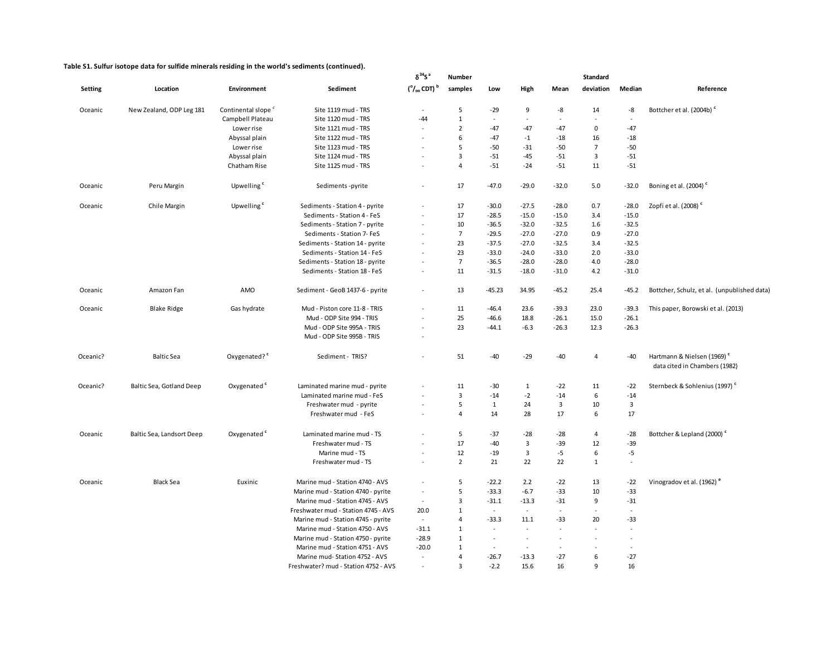|                |                           |                                |                                                                  | $\delta^{34}$ S <sup>a</sup>    | <b>Number</b>                |              |                         |                                            | <b>Standard</b> |                         |                                                                         |
|----------------|---------------------------|--------------------------------|------------------------------------------------------------------|---------------------------------|------------------------------|--------------|-------------------------|--------------------------------------------|-----------------|-------------------------|-------------------------------------------------------------------------|
| <b>Setting</b> | Location                  | <b>Environment</b>             | Sediment                                                         | $(^\circ/_\infty$ CDT) $^\circ$ | samples                      | Low          | High                    | Mean                                       | deviation       | Median                  | Reference                                                               |
| Oceanic        | New Zealand, ODP Leg 181  | Continental slope <sup>c</sup> | Site 1119 mud - TRS                                              | $\sim$                          | 5                            | $-29$        | 9                       | -8                                         | 14              | -8                      | Bottcher et al. (2004b) <sup>c</sup>                                    |
|                |                           | Campbell Plateau               | Site 1120 mud - TRS                                              | $-44$                           | $\mathbf{1}$                 | $\sim$       | $\overline{a}$          | $\sim$                                     | $\sim$          | $\sim$                  |                                                                         |
|                |                           | Lower rise                     | Site 1121 mud - TRS                                              | ä,                              | $\overline{2}$               | $-47$        | $-47$                   | $-47$                                      | 0               | $-47$                   |                                                                         |
|                |                           | Abyssal plain                  | Site 1122 mud - TRS                                              | $\ddot{\phantom{1}}$            | 6                            | $-47$        | $-1$                    | $-18$                                      | 16              | $-18$                   |                                                                         |
|                |                           | Lower rise                     | Site 1123 mud - TRS                                              | ÷.                              | 5                            | $-50$        | $-31$                   | $-50$                                      | $\overline{7}$  | $-50$                   |                                                                         |
|                |                           | Abyssal plain                  | Site 1124 mud - TRS                                              | ÷,                              | $\overline{3}$               | $-51$        | -45                     | $-51$                                      | 3               | $-51$                   |                                                                         |
|                |                           | Chatham Rise                   | Site 1125 mud - TRS                                              |                                 | $\overline{4}$               | $-51$        | $-24$                   | $-51$                                      | 11              | $-51$                   |                                                                         |
| Oceanic        | Peru Margin               | Upwelling <sup>c</sup>         | Sediments - pyrite                                               | ÷,                              | 17                           | $-47.0$      | $-29.0$                 | $-32.0$                                    | 5.0             | $-32.0$                 | Boning et al. (2004) <sup>c</sup>                                       |
| Oceanic        | Chile Margin              | Upwelling <sup>c</sup>         | Sediments - Station 4 - pyrite                                   | ÷,                              | 17                           | $-30.0$      | $-27.5$                 | $-28.0$                                    | 0.7             | $-28.0$                 | Zopfi et al. (2008) <sup>c</sup>                                        |
|                |                           |                                | Sediments - Station 4 - FeS                                      | ä,                              | 17                           | $-28.5$      | $-15.0$                 | $-15.0$                                    | 3.4             | $-15.0$                 |                                                                         |
|                |                           |                                | Sediments - Station 7 - pyrite                                   | $\tilde{\phantom{a}}$           | 10                           | $-36.5$      | $-32.0$                 | $-32.5$                                    | 1.6             | $-32.5$                 |                                                                         |
|                |                           |                                | Sediments - Station 7- FeS                                       | ÷,                              | $\overline{7}$               | $-29.5$      | $-27.0$                 | $-27.0$                                    | 0.9             | $-27.0$                 |                                                                         |
|                |                           |                                | Sediments - Station 14 - pyrite                                  | ÷,                              | 23                           | $-37.5$      | $-27.0$                 | $-32.5$                                    | 3.4             | $-32.5$                 |                                                                         |
|                |                           |                                | Sediments - Station 14 - FeS                                     | ÷,                              | 23                           | $-33.0$      | $-24.0$                 | $-33.0$                                    | 2.0             | $-33.0$                 |                                                                         |
|                |                           |                                | Sediments - Station 18 - pyrite                                  | $\sim$                          | $\overline{7}$               | $-36.5$      | $-28.0$                 | $-28.0$                                    | 4.0             | $-28.0$                 |                                                                         |
|                |                           |                                | Sediments - Station 18 - FeS                                     | $\sim$                          | 11                           | $-31.5$      | $-18.0$                 | $-31.0$                                    | 4.2             | $-31.0$                 |                                                                         |
| Oceanic        | Amazon Fan                | AMO                            | Sediment - GeoB 1437-6 - pyrite                                  | $\sim$                          | 13                           | $-45.23$     | 34.95                   | $-45.2$                                    | 25.4            | $-45.2$                 | Bottcher, Schulz, et al. (unpublished data)                             |
| Oceanic        | <b>Blake Ridge</b>        | Gas hydrate                    | Mud - Piston core 11-8 - TRIS                                    | ÷,                              | 11                           | $-46.4$      | 23.6                    | $-39.3$                                    | 23.0            | $-39.3$                 | This paper, Borowski et al. (2013)                                      |
|                |                           |                                | Mud - ODP Site 994 - TRIS                                        |                                 | 25                           | $-46.6$      | 18.8                    | $-26.1$                                    | 15.0            | $-26.1$                 |                                                                         |
|                |                           |                                | Mud - ODP Site 995A - TRIS                                       | $\sim$                          | 23                           | $-44.1$      | $-6.3$                  | $-26.3$                                    | 12.3            | $-26.3$                 |                                                                         |
|                |                           |                                | Mud - ODP Site 995B - TRIS                                       | $\ddot{\phantom{1}}$            |                              |              |                         |                                            |                 |                         |                                                                         |
| Oceanic?       | <b>Baltic Sea</b>         | Oxygenated? <sup>c</sup>       | Sediment - TRIS?                                                 | $\overline{a}$                  | 51                           | $-40$        | $-29$                   | $-40$                                      | 4               | $-40$                   | Hartmann & Nielsen (1969) <sup>c</sup><br>data cited in Chambers (1982) |
| Oceanic?       | Baltic Sea, Gotland Deep  | Oxygenated <sup>c</sup>        | Laminated marine mud - pyrite                                    |                                 | 11                           | $-30$        | $\mathbf{1}$            | $-22$                                      | 11              | $-22$                   | Sternbeck & Sohlenius (1997) <sup>c</sup>                               |
|                |                           |                                | Laminated marine mud - FeS                                       |                                 | 3                            | $-14$        | $-2$                    | $-14$                                      | 6               | $-14$                   |                                                                         |
|                |                           |                                | Freshwater mud - pyrite                                          |                                 | 5                            | $\mathbf{1}$ | 24                      | $\overline{\mathbf{3}}$                    | 10              | $\overline{\mathbf{3}}$ |                                                                         |
|                |                           |                                | Freshwater mud - FeS                                             | $\ddot{\phantom{1}}$            | 4                            | 14           | 28                      | 17                                         | 6               | 17                      |                                                                         |
| Oceanic        | Baltic Sea, Landsort Deep | Oxygenated <sup>c</sup>        | Laminated marine mud - TS                                        | ä,                              | 5                            | $-37$        | $-28$                   | $-28$                                      | $\overline{4}$  | $-28$                   | Bottcher & Lepland (2000) <sup>c</sup>                                  |
|                |                           |                                | Freshwater mud - TS                                              | $\overline{a}$                  | 17                           | $-40$        | $\overline{\mathbf{3}}$ | $-39$                                      | 12              | $-39$                   |                                                                         |
|                |                           |                                | Marine mud - TS                                                  | ÷,                              | 12                           | $-19$        | $\overline{\mathbf{3}}$ | $-5$                                       | 6               | $-5$                    |                                                                         |
|                |                           |                                | Freshwater mud - TS                                              | ÷,                              | $\overline{2}$               | 21           | 22                      | 22                                         | $\mathbf{1}$    | $\sim$                  |                                                                         |
| Oceanic        | <b>Black Sea</b>          | Euxinic                        | Marine mud - Station 4740 - AVS                                  | $\sim$                          | 5                            | $-22.2$      | 2.2                     | $-22$                                      | 13              | $-22$                   | Vinogradov et al. (1962) <sup>e</sup>                                   |
|                |                           |                                | Marine mud - Station 4740 - pyrite                               | $\sim$                          | 5                            | $-33.3$      | $-6.7$                  | $-33$                                      | 10              | $-33$                   |                                                                         |
|                |                           |                                | Marine mud - Station 4745 - AVS                                  | $\sim$                          | 3                            | $-31.1$      | $-13.3$                 | $-31$                                      | 9               | $-31$                   |                                                                         |
|                |                           |                                | Freshwater mud - Station 4745 - AVS                              | 20.0                            | $\mathbf{1}$                 | $\sim$       | $\sim$                  | $\sim$                                     | $\sim$          | $\sim$                  |                                                                         |
|                |                           |                                | Marine mud - Station 4745 - pyrite                               | $\sim$                          | 4                            | $-33.3$      | 11.1                    | $-33$                                      | 20              | $-33$                   |                                                                         |
|                |                           |                                | Marine mud - Station 4750 - AVS                                  | $-31.1$                         | $\mathbf{1}$                 | $\sim$       | ä,                      | $\overline{\phantom{a}}$                   | $\sim$          |                         |                                                                         |
|                |                           |                                | Marine mud - Station 4750 - pyrite                               | $-28.9$                         | $\mathbf{1}$<br>$\mathbf{1}$ | $\sim$       | $\sim$<br>$\sim$        | $\blacksquare$<br>$\overline{\phantom{a}}$ | $\sim$          |                         |                                                                         |
|                |                           |                                | Marine mud - Station 4751 - AVS<br>Marine mud-Station 4752 - AVS | $-20.0$<br>$\sim$               | $\overline{4}$               | $-26.7$      | $-13.3$                 | $-27$                                      | 6               | $-27$                   |                                                                         |
|                |                           |                                | Freshwater? mud - Station 4752 - AVS                             | $\blacksquare$                  | 3                            | $-2.2$       | 15.6                    | 16                                         | 9               | 16                      |                                                                         |
|                |                           |                                |                                                                  |                                 |                              |              |                         |                                            |                 |                         |                                                                         |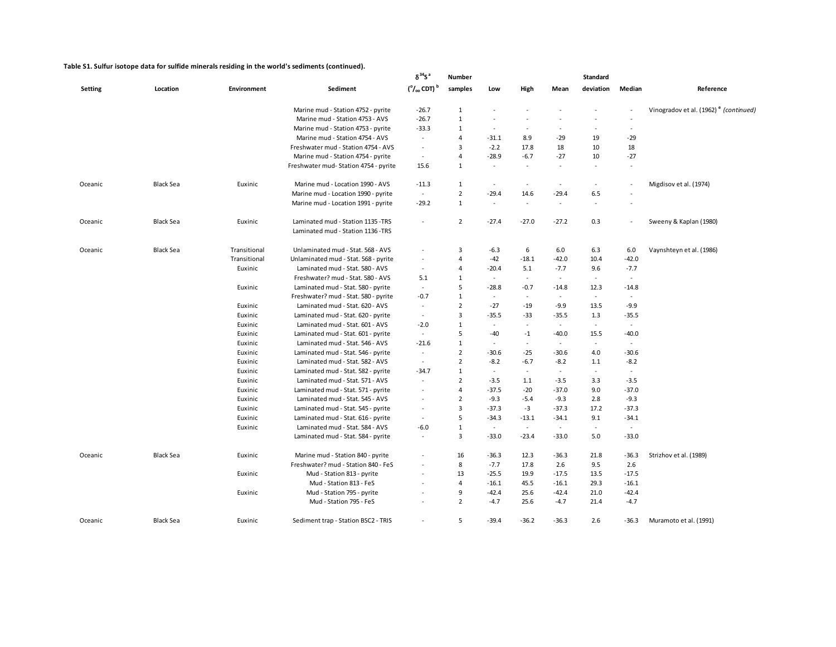|                |                  |              |                                                                          | $\delta^{34}S^a$                    | Number         |                          |         |                          | <b>Standard</b>          |                          |                                                   |
|----------------|------------------|--------------|--------------------------------------------------------------------------|-------------------------------------|----------------|--------------------------|---------|--------------------------|--------------------------|--------------------------|---------------------------------------------------|
| <b>Setting</b> | Location         | Environment  | Sediment                                                                 | $(^\circ/_{\infty}$ CDT) $^{\rm b}$ | samples        | Low                      | High    | Mean                     | deviation                | Median                   | Reference                                         |
|                |                  |              | Marine mud - Station 4752 - pyrite                                       | $-26.7$                             | $\mathbf{1}$   |                          |         |                          |                          |                          | Vinogradov et al. (1962) <sup>e</sup> (continued) |
|                |                  |              | Marine mud - Station 4753 - AVS                                          | $-26.7$                             | $\mathbf{1}$   | $\sim$                   |         |                          |                          | $\sim$                   |                                                   |
|                |                  |              | Marine mud - Station 4753 - pyrite                                       | $-33.3$                             | 1              | $\sim$                   |         |                          |                          | $\overline{\phantom{a}}$ |                                                   |
|                |                  |              | Marine mud - Station 4754 - AVS                                          | $\sim$                              | 4              | $-31.1$                  | 8.9     | $-29$                    | 19                       | $-29$                    |                                                   |
|                |                  |              | Freshwater mud - Station 4754 - AVS                                      | $\sim$                              | 3              | $-2.2$                   | 17.8    | 18                       | 10                       | 18                       |                                                   |
|                |                  |              | Marine mud - Station 4754 - pyrite                                       | $\sim$                              | $\overline{4}$ | $-28.9$                  | $-6.7$  | $-27$                    | 10                       | $-27$                    |                                                   |
|                |                  |              | Freshwater mud-Station 4754 - pyrite                                     | 15.6                                | $\mathbf{1}$   | $\overline{\phantom{a}}$ | $\sim$  | $\sim$                   | $\sim$                   | $\overline{\phantom{a}}$ |                                                   |
| Oceanic        | <b>Black Sea</b> | Euxinic      | Marine mud - Location 1990 - AVS                                         | $-11.3$                             | $\mathbf{1}$   | $\sim$                   | $\sim$  | $\overline{\phantom{a}}$ | $\sim$                   |                          | Migdisov et al. (1974)                            |
|                |                  |              | Marine mud - Location 1990 - pyrite                                      | $\sim$                              | $\overline{2}$ | $-29.4$                  | 14.6    | $-29.4$                  | 6.5                      |                          |                                                   |
|                |                  |              | Marine mud - Location 1991 - pyrite                                      | $-29.2$                             | $\mathbf{1}$   | $\sim$                   | $\sim$  | $\sim$                   | $\overline{\phantom{a}}$ |                          |                                                   |
| Oceanic        | <b>Black Sea</b> | Euxinic      | Laminated mud - Station 1135 - TRS<br>Laminated mud - Station 1136 - TRS | $\overline{\phantom{a}}$            | $\overline{2}$ | $-27.4$                  | $-27.0$ | $-27.2$                  | 0.3                      |                          | Sweeny & Kaplan (1980)                            |
| Oceanic        | <b>Black Sea</b> | Transitional | Unlaminated mud - Stat. 568 - AVS                                        | $\sim$                              | 3              | $-6.3$                   | 6       | 6.0                      | 6.3                      | 6.0                      | Vaynshteyn et al. (1986)                          |
|                |                  | Transitional | Unlaminated mud - Stat. 568 - pyrite                                     | $\sim$                              | 4              | $-42$                    | $-18.1$ | $-42.0$                  | 10.4                     | $-42.0$                  |                                                   |
|                |                  | Euxinic      | Laminated mud - Stat. 580 - AVS                                          | $\sim$                              | 4              | $-20.4$                  | 5.1     | $-7.7$                   | 9.6                      | $-7.7$                   |                                                   |
|                |                  |              | Freshwater? mud - Stat. 580 - AVS                                        | 5.1                                 | $\mathbf{1}$   | $\sim$                   | $\sim$  | $\sim$                   | $\sim$                   | $\sim$                   |                                                   |
|                |                  | Euxinic      | Laminated mud - Stat. 580 - pyrite                                       | $\blacksquare$                      | 5              | $-28.8$                  | $-0.7$  | $-14.8$                  | 12.3                     | $-14.8$                  |                                                   |
|                |                  |              | Freshwater? mud - Stat. 580 - pyrite                                     | $-0.7$                              | $\mathbf{1}$   | $\omega$                 | ÷.      | $\omega$                 | $\sim$                   | $\sim$                   |                                                   |
|                |                  | Euxinic      | Laminated mud - Stat. 620 - AVS                                          | $\sim$                              | $\overline{2}$ | $-27$                    | $-19$   | $-9.9$                   | 13.5                     | $-9.9$                   |                                                   |
|                |                  | Euxinic      | Laminated mud - Stat. 620 - pyrite                                       | $\sim$                              | 3              | $-35.5$                  | $-33$   | $-35.5$                  | 1.3                      | $-35.5$                  |                                                   |
|                |                  | Euxinic      | Laminated mud - Stat. 601 - AVS                                          | $-2.0$                              | $\mathbf{1}$   | $\sim$                   | $\sim$  | $\sim$                   | $\sim$                   | $\sim$                   |                                                   |
|                |                  | Euxinic      | Laminated mud - Stat. 601 - pyrite                                       | $\sim$                              | 5              | $-40$                    | $-1$    | $-40.0$                  | 15.5                     | $-40.0$                  |                                                   |
|                |                  | Euxinic      | Laminated mud - Stat. 546 - AVS                                          | $-21.6$                             | 1              | $\sim$                   | $\sim$  | $\sim$                   | $\sim$                   | $\sim$                   |                                                   |
|                |                  | Euxinic      | Laminated mud - Stat. 546 - pyrite                                       | $\sim$                              | $\overline{2}$ | $-30.6$                  | $-25$   | $-30.6$                  | 4.0                      | $-30.6$                  |                                                   |
|                |                  | Euxinic      | Laminated mud - Stat. 582 - AVS                                          | $\sim$                              | $\overline{2}$ | $-8.2$                   | $-6.7$  | $-8.2$                   | 1.1                      | $-8.2$                   |                                                   |
|                |                  | Euxinic      | Laminated mud - Stat. 582 - pyrite                                       | $-34.7$                             | $\mathbf{1}$   | $\sim$                   | $\sim$  | $\sim$                   | $\sim$                   | $\sim$                   |                                                   |
|                |                  | Euxinic      | Laminated mud - Stat. 571 - AVS                                          | $\sim$                              | $\overline{2}$ | $-3.5$                   | 1.1     | $-3.5$                   | 3.3                      | $-3.5$                   |                                                   |
|                |                  | Euxinic      | Laminated mud - Stat. 571 - pyrite                                       | $\overline{\phantom{a}}$            | $\overline{4}$ | $-37.5$                  | $-20$   | $-37.0$                  | 9.0                      | $-37.0$                  |                                                   |
|                |                  | Euxinic      | Laminated mud - Stat. 545 - AVS                                          | $\sim$                              | $\overline{2}$ | $-9.3$                   | $-5.4$  | $-9.3$                   | 2.8                      | $-9.3$                   |                                                   |
|                |                  | Euxinic      | Laminated mud - Stat. 545 - pyrite                                       | $\sim$                              | 3              | $-37.3$                  | $-3$    | $-37.3$                  | 17.2                     | $-37.3$                  |                                                   |
|                |                  | Euxinic      | Laminated mud - Stat. 616 - pyrite                                       | $\sim$                              | 5              | $-34.3$                  | $-13.1$ | $-34.1$                  | 9.1                      | $-34.1$                  |                                                   |
|                |                  | Euxinic      | Laminated mud - Stat. 584 - AVS                                          | $-6.0$                              | 1              | $\sim$                   | $\sim$  | $\sim$                   | $\sim$                   | $\sim$                   |                                                   |
|                |                  |              | Laminated mud - Stat. 584 - pyrite                                       | $\overline{\phantom{a}}$            | 3              | $-33.0$                  | $-23.4$ | $-33.0$                  | 5.0                      | $-33.0$                  |                                                   |
| Oceanic        | <b>Black Sea</b> | Euxinic      | Marine mud - Station 840 - pyrite                                        |                                     | 16             | $-36.3$                  | 12.3    | $-36.3$                  | 21.8                     | $-36.3$                  | Strizhov et al. (1989)                            |
|                |                  |              | Freshwater? mud - Station 840 - FeS                                      |                                     | 8              | $-7.7$                   | 17.8    | 2.6                      | 9.5                      | 2.6                      |                                                   |
|                |                  | Euxinic      | Mud - Station 813 - pyrite                                               |                                     | 13             | $-25.5$                  | 19.9    | $-17.5$                  | 13.5                     | $-17.5$                  |                                                   |
|                |                  |              | Mud - Station 813 - FeS                                                  |                                     | $\overline{4}$ | $-16.1$                  | 45.5    | $-16.1$                  | 29.3                     | $-16.1$                  |                                                   |
|                |                  | Euxinic      | Mud - Station 795 - pyrite                                               |                                     | 9              | $-42.4$                  | 25.6    | $-42.4$                  | 21.0                     | $-42.4$                  |                                                   |
|                |                  |              | Mud - Station 795 - FeS                                                  |                                     | $\overline{2}$ | $-4.7$                   | 25.6    | $-4.7$                   | 21.4                     | $-4.7$                   |                                                   |
| Oceanic        | <b>Black Sea</b> | Euxinic      | Sediment trap - Station BSC2 - TRIS                                      | $\sim$                              | 5              | $-39.4$                  | $-36.2$ | $-36.3$                  | 2.6                      | $-36.3$                  | Muramoto et al. (1991)                            |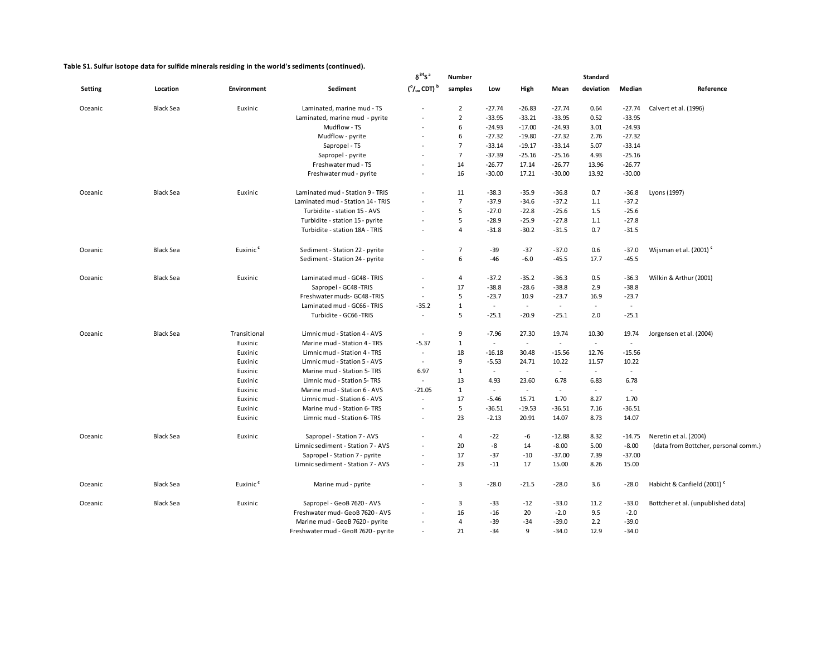|                |                  |                      |                                     | $\delta^{34}S^a$           | Number         |          |          |          | <b>Standard</b> |          |                                        |
|----------------|------------------|----------------------|-------------------------------------|----------------------------|----------------|----------|----------|----------|-----------------|----------|----------------------------------------|
| <b>Setting</b> | Location         | Environment          | Sediment                            | $(°/000$ CDT) <sup>b</sup> | samples        | Low      | High     | Mean     | deviation       | Median   | Reference                              |
| Oceanic        | Black Sea        | Euxinic              | Laminated, marine mud - TS          |                            | $\overline{2}$ | $-27.74$ | $-26.83$ | $-27.74$ | 0.64            | $-27.74$ | Calvert et al. (1996)                  |
|                |                  |                      | Laminated, marine mud - pyrite      |                            | $\overline{2}$ | $-33.95$ | $-33.21$ | $-33.95$ | 0.52            | $-33.95$ |                                        |
|                |                  |                      | Mudflow - TS                        |                            | 6              | $-24.93$ | $-17.00$ | $-24.93$ | 3.01            | $-24.93$ |                                        |
|                |                  |                      | Mudflow - pyrite                    |                            | 6              | $-27.32$ | $-19.80$ | $-27.32$ | 2.76            | $-27.32$ |                                        |
|                |                  |                      | Sapropel - TS                       |                            | $\overline{7}$ | $-33.14$ | $-19.17$ | $-33.14$ | 5.07            | $-33.14$ |                                        |
|                |                  |                      | Sapropel - pyrite                   |                            | $\overline{7}$ | $-37.39$ | $-25.16$ | $-25.16$ | 4.93            | $-25.16$ |                                        |
|                |                  |                      | Freshwater mud - TS                 |                            | 14             | $-26.77$ | 17.14    | $-26.77$ | 13.96           | $-26.77$ |                                        |
|                |                  |                      | Freshwater mud - pyrite             |                            | 16             | $-30.00$ | 17.21    | $-30.00$ | 13.92           | $-30.00$ |                                        |
| Oceanic        | Black Sea        | Euxinic              | Laminated mud - Station 9 - TRIS    |                            | 11             | $-38.3$  | $-35.9$  | $-36.8$  | 0.7             | -36.8    | Lyons (1997)                           |
|                |                  |                      | Laminated mud - Station 14 - TRIS   |                            | $\overline{7}$ | $-37.9$  | $-34.6$  | $-37.2$  | 1.1             | $-37.2$  |                                        |
|                |                  |                      | Turbidite - station 15 - AVS        |                            | 5              | $-27.0$  | $-22.8$  | $-25.6$  | 1.5             | $-25.6$  |                                        |
|                |                  |                      | Turbidite - station 15 - pyrite     |                            | 5              | $-28.9$  | $-25.9$  | $-27.8$  | 1.1             | $-27.8$  |                                        |
|                |                  |                      | Turbidite - station 18A - TRIS      |                            | $\overline{4}$ | $-31.8$  | $-30.2$  | $-31.5$  | 0.7             | $-31.5$  |                                        |
| Oceanic        | Black Sea        | Euxinic <sup>c</sup> | Sediment - Station 22 - pyrite      |                            | $\overline{7}$ | $-39$    | $-37$    | $-37.0$  | 0.6             | $-37.0$  | Wijsman et al. (2001) <sup>c</sup>     |
|                |                  |                      | Sediment - Station 24 - pyrite      |                            | 6              | -46      | $-6.0$   | $-45.5$  | 17.7            | $-45.5$  |                                        |
| Oceanic        | <b>Black Sea</b> | Euxinic              | Laminated mud - GC48 - TRIS         |                            | 4              | $-37.2$  | $-35.2$  | $-36.3$  | 0.5             | $-36.3$  | Wilkin & Arthur (2001)                 |
|                |                  |                      | Sapropel - GC48 - TRIS              | $\sim$                     | 17             | $-38.8$  | $-28.6$  | $-38.8$  | 2.9             | $-38.8$  |                                        |
|                |                  |                      | Freshwater muds- GC48-TRIS          | $\sim$                     | 5              | $-23.7$  | 10.9     | $-23.7$  | 16.9            | $-23.7$  |                                        |
|                |                  |                      | Laminated mud - GC66 - TRIS         | $-35.2$                    | $\mathbf{1}$   | $\sim$   | $\sim$   | $\omega$ |                 | $\sim$   |                                        |
|                |                  |                      | Turbidite - GC66 - TRIS             | $\sim$                     | 5              | $-25.1$  | $-20.9$  | $-25.1$  | 2.0             | $-25.1$  |                                        |
| Oceanic        | <b>Black Sea</b> | Transitional         | Limnic mud - Station 4 - AVS        | $\overline{\phantom{a}}$   | 9              | $-7.96$  | 27.30    | 19.74    | 10.30           | 19.74    | Jorgensen et al. (2004)                |
|                |                  | Euxinic              | Marine mud - Station 4 - TRS        | $-5.37$                    | $\mathbf{1}$   | $\omega$ | $\sim$   | $\omega$ | $\omega$        | $\sim$   |                                        |
|                |                  | Euxinic              | Limnic mud - Station 4 - TRS        | $\overline{\phantom{a}}$   | 18             | $-16.18$ | 30.48    | $-15.56$ | 12.76           | $-15.56$ |                                        |
|                |                  | Euxinic              | Limnic mud - Station 5 - AVS        | $\sim$                     | 9              | $-5.53$  | 24.71    | 10.22    | 11.57           | 10.22    |                                        |
|                |                  | Euxinic              | Marine mud - Station 5- TRS         | 6.97                       | $\mathbf{1}$   | $\sim$   | $\sim$   | $\sim$   | $\sim$          | $\sim$   |                                        |
|                |                  | Euxinic              | Limnic mud - Station 5- TRS         |                            | 13             | 4.93     | 23.60    | 6.78     | 6.83            | 6.78     |                                        |
|                |                  | Euxinic              | Marine mud - Station 6 - AVS        | $-21.05$                   | $\mathbf{1}$   | $\sim$   | $\omega$ | $\omega$ | $\sim$          | $\omega$ |                                        |
|                |                  | Euxinic              | Limnic mud - Station 6 - AVS        | $\sim$                     | 17             | $-5.46$  | 15.71    | 1.70     | 8.27            | 1.70     |                                        |
|                |                  | Euxinic              | Marine mud - Station 6- TRS         | $\overline{\phantom{a}}$   | 5              | $-36.51$ | $-19.53$ | $-36.51$ | 7.16            | $-36.51$ |                                        |
|                |                  | Euxinic              | Limnic mud - Station 6- TRS         | $\sim$                     | 23             | $-2.13$  | 20.91    | 14.07    | 8.73            | 14.07    |                                        |
| Oceanic        | Black Sea        | Euxinic              | Sapropel - Station 7 - AVS          |                            | $\overline{4}$ | $-22$    | -6       | $-12.88$ | 8.32            | $-14.75$ | Neretin et al. (2004)                  |
|                |                  |                      | Limnic sediment - Station 7 - AVS   | $\overline{\phantom{a}}$   | 20             | $-8$     | 14       | $-8.00$  | 5.00            | $-8.00$  | (data from Bottcher, personal comm.)   |
|                |                  |                      | Sapropel - Station 7 - pyrite       |                            | 17             | $-37$    | $-10$    | $-37.00$ | 7.39            | $-37.00$ |                                        |
|                |                  |                      | Limnic sediment - Station 7 - AVS   | $\sim$                     | 23             | $-11$    | 17       | 15.00    | 8.26            | 15.00    |                                        |
| Oceanic        | Black Sea        | Euxinic <sup>c</sup> | Marine mud - pyrite                 | $\overline{\phantom{a}}$   | 3              | $-28.0$  | $-21.5$  | $-28.0$  | 3.6             | $-28.0$  | Habicht & Canfield (2001) <sup>c</sup> |
| Oceanic        | Black Sea        | Euxinic              | Sapropel - GeoB 7620 - AVS          |                            | 3              | -33      | $-12$    | $-33.0$  | 11.2            | $-33.0$  | Bottcher et al. (unpublished data)     |
|                |                  |                      | Freshwater mud- GeoB 7620 - AVS     |                            | 16             | $-16$    | 20       | $-2.0$   | 9.5             | $-2.0$   |                                        |
|                |                  |                      | Marine mud - GeoB 7620 - pyrite     |                            | 4              | $-39$    | $-34$    | $-39.0$  | 2.2             | $-39.0$  |                                        |
|                |                  |                      | Freshwater mud - GeoB 7620 - pyrite |                            | 21             | $-34$    | 9        | $-34.0$  | 12.9            | $-34.0$  |                                        |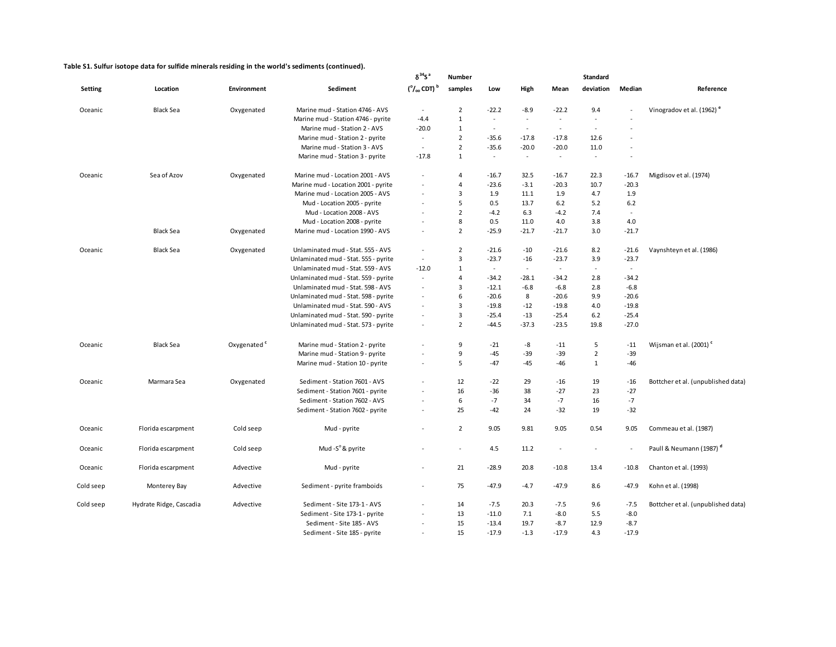|                |                         |                         |                                      | $\delta^{34}$ S <sup>a</sup><br><b>Standard</b><br><b>Number</b> |                          |          |         |         |                |                          |                                       |  |  |
|----------------|-------------------------|-------------------------|--------------------------------------|------------------------------------------------------------------|--------------------------|----------|---------|---------|----------------|--------------------------|---------------------------------------|--|--|
| <b>Setting</b> | Location                | <b>Environment</b>      | Sediment                             | $(^\circ/_{\circ \circ}$ CDT) $^\circ$                           | samples                  | Low      | High    | Mean    | deviation      | Median                   | Reference                             |  |  |
| Oceanic        | <b>Black Sea</b>        | Oxygenated              | Marine mud - Station 4746 - AVS      | $\sim$                                                           | $\overline{2}$           | $-22.2$  | $-8.9$  | $-22.2$ | 9.4            |                          | Vinogradov et al. (1962) <sup>e</sup> |  |  |
|                |                         |                         | Marine mud - Station 4746 - pyrite   | -4.4                                                             | $\mathbf{1}$             | $\omega$ | $\sim$  | $\sim$  | $\sim$         |                          |                                       |  |  |
|                |                         |                         | Marine mud - Station 2 - AVS         | $-20.0$                                                          | $\mathbf{1}$             | $\sim$   | $\sim$  | $\sim$  | $\sim$         |                          |                                       |  |  |
|                |                         |                         | Marine mud - Station 2 - pyrite      | $\sim$                                                           | $\overline{2}$           | $-35.6$  | $-17.8$ | $-17.8$ | 12.6           |                          |                                       |  |  |
|                |                         |                         | Marine mud - Station 3 - AVS         | $\sim$                                                           | $\overline{2}$           | $-35.6$  | $-20.0$ | $-20.0$ | 11.0           |                          |                                       |  |  |
|                |                         |                         | Marine mud - Station 3 - pyrite      | $-17.8$                                                          | $\mathbf{1}$             | $\omega$ | $\sim$  | $\sim$  | $\sim$         | $\overline{\phantom{a}}$ |                                       |  |  |
| Oceanic        | Sea of Azov             | Oxygenated              | Marine mud - Location 2001 - AVS     | $\sim$                                                           | 4                        | $-16.7$  | 32.5    | $-16.7$ | 22.3           | $-16.7$                  | Migdisov et al. (1974)                |  |  |
|                |                         |                         | Marine mud - Location 2001 - pyrite  |                                                                  | 4                        | $-23.6$  | $-3.1$  | $-20.3$ | 10.7           | $-20.3$                  |                                       |  |  |
|                |                         |                         | Marine mud - Location 2005 - AVS     | $\sim$                                                           | 3                        | 1.9      | 11.1    | 1.9     | 4.7            | 1.9                      |                                       |  |  |
|                |                         |                         | Mud - Location 2005 - pyrite         |                                                                  | 5                        | 0.5      | 13.7    | 6.2     | 5.2            | 6.2                      |                                       |  |  |
|                |                         |                         | Mud - Location 2008 - AVS            |                                                                  | $\overline{2}$           | $-4.2$   | 6.3     | $-4.2$  | 7.4            | $\sim$                   |                                       |  |  |
|                |                         |                         | Mud - Location 2008 - pyrite         |                                                                  | 8                        | 0.5      | 11.0    | 4.0     | 3.8            | 4.0                      |                                       |  |  |
|                | <b>Black Sea</b>        | Oxygenated              | Marine mud - Location 1990 - AVS     | $\sim$                                                           | $\overline{2}$           | $-25.9$  | $-21.7$ | $-21.7$ | 3.0            | $-21.7$                  |                                       |  |  |
| Oceanic        | <b>Black Sea</b>        | Oxygenated              | Unlaminated mud - Stat. 555 - AVS    | $\sim$                                                           | $\overline{2}$           | $-21.6$  | $-10$   | $-21.6$ | 8.2            | $-21.6$                  | Vaynshteyn et al. (1986)              |  |  |
|                |                         |                         | Unlaminated mud - Stat. 555 - pyrite | $\overline{\phantom{a}}$                                         | 3                        | $-23.7$  | $-16$   | $-23.7$ | 3.9            | $-23.7$                  |                                       |  |  |
|                |                         |                         | Unlaminated mud - Stat. 559 - AVS    | $-12.0$                                                          | $\mathbf{1}$             | $\omega$ | $\sim$  | $\sim$  | $\sim$         | $\omega$                 |                                       |  |  |
|                |                         |                         | Unlaminated mud - Stat. 559 - pyrite | $\sim$                                                           | 4                        | $-34.2$  | $-28.1$ | $-34.2$ | 2.8            | $-34.2$                  |                                       |  |  |
|                |                         |                         | Unlaminated mud - Stat. 598 - AVS    |                                                                  | 3                        | $-12.1$  | $-6.8$  | $-6.8$  | 2.8            | $-6.8$                   |                                       |  |  |
|                |                         |                         | Unlaminated mud - Stat. 598 - pyrite |                                                                  | 6                        | $-20.6$  | 8       | $-20.6$ | 9.9            | $-20.6$                  |                                       |  |  |
|                |                         |                         | Unlaminated mud - Stat. 590 - AVS    |                                                                  | 3                        | $-19.8$  | $-12$   | $-19.8$ | 4.0            | $-19.8$                  |                                       |  |  |
|                |                         |                         | Unlaminated mud - Stat. 590 - pyrite |                                                                  | 3                        | -25.4    | $-13$   | $-25.4$ | 6.2            | $-25.4$                  |                                       |  |  |
|                |                         |                         | Unlaminated mud - Stat. 573 - pyrite | $\sim$                                                           | $\overline{2}$           | $-44.5$  | $-37.3$ | $-23.5$ | 19.8           | $-27.0$                  |                                       |  |  |
| Oceanic        | <b>Black Sea</b>        | Oxygenated <sup>c</sup> | Marine mud - Station 2 - pyrite      |                                                                  | 9                        | $-21$    | -8      | $-11$   | 5              | $-11$                    | Wijsman et al. (2001) <sup>c</sup>    |  |  |
|                |                         |                         | Marine mud - Station 9 - pyrite      |                                                                  | 9                        | $-45$    | $-39$   | $-39$   | $\overline{2}$ | $-39$                    |                                       |  |  |
|                |                         |                         | Marine mud - Station 10 - pyrite     | $\sim$                                                           | 5                        | $-47$    | -45     | $-46$   | $\mathbf{1}$   | $-46$                    |                                       |  |  |
| Oceanic        | Marmara Sea             | Oxygenated              | Sediment - Station 7601 - AVS        |                                                                  | 12                       | $-22$    | 29      | $-16$   | 19             | $-16$                    | Bottcher et al. (unpublished data)    |  |  |
|                |                         |                         | Sediment - Station 7601 - pyrite     | $\sim$                                                           | 16                       | $-36$    | 38      | $-27$   | 23             | $-27$                    |                                       |  |  |
|                |                         |                         | Sediment - Station 7602 - AVS        |                                                                  | 6                        | $-7$     | 34      | -7      | 16             | $-7$                     |                                       |  |  |
|                |                         |                         | Sediment - Station 7602 - pyrite     | $\sim$                                                           | 25                       | $-42$    | 24      | $-32$   | 19             | $-32$                    |                                       |  |  |
| Oceanic        | Florida escarpment      | Cold seep               | Mud - pyrite                         | ÷,                                                               | $\overline{2}$           | 9.05     | 9.81    | 9.05    | 0.54           | 9.05                     | Commeau et al. (1987)                 |  |  |
| Oceanic        | Florida escarpment      | Cold seep               | Mud -S°& pyrite                      |                                                                  | $\overline{\phantom{a}}$ | 4.5      | 11.2    | $\sim$  | $\sim$         | $\sim$                   | Paull & Neumann (1987) <sup>d</sup>   |  |  |
| Oceanic        | Florida escarpment      | Advective               | Mud - pyrite                         | $\sim$                                                           | 21                       | $-28.9$  | 20.8    | $-10.8$ | 13.4           | $-10.8$                  | Chanton et al. (1993)                 |  |  |
| Cold seep      | Monterey Bay            | Advective               | Sediment - pyrite framboids          | $\sim$                                                           | 75                       | $-47.9$  | $-4.7$  | $-47.9$ | 8.6            | $-47.9$                  | Kohn et al. (1998)                    |  |  |
| Cold seep      | Hydrate Ridge, Cascadia | Advective               | Sediment - Site 173-1 - AVS          |                                                                  | 14                       | $-7.5$   | 20.3    | -7.5    | 9.6            | $-7.5$                   | Bottcher et al. (unpublished data)    |  |  |
|                |                         |                         | Sediment - Site 173-1 - pyrite       |                                                                  | 13                       | $-11.0$  | 7.1     | $-8.0$  | 5.5            | $-8.0$                   |                                       |  |  |
|                |                         |                         | Sediment - Site 185 - AVS            |                                                                  | 15                       | $-13.4$  | 19.7    | $-8.7$  | 12.9           | $-8.7$                   |                                       |  |  |
|                |                         |                         | Sediment - Site 185 - pyrite         |                                                                  | 15                       | $-17.9$  | $-1.3$  | $-17.9$ | 4.3            | $-17.9$                  |                                       |  |  |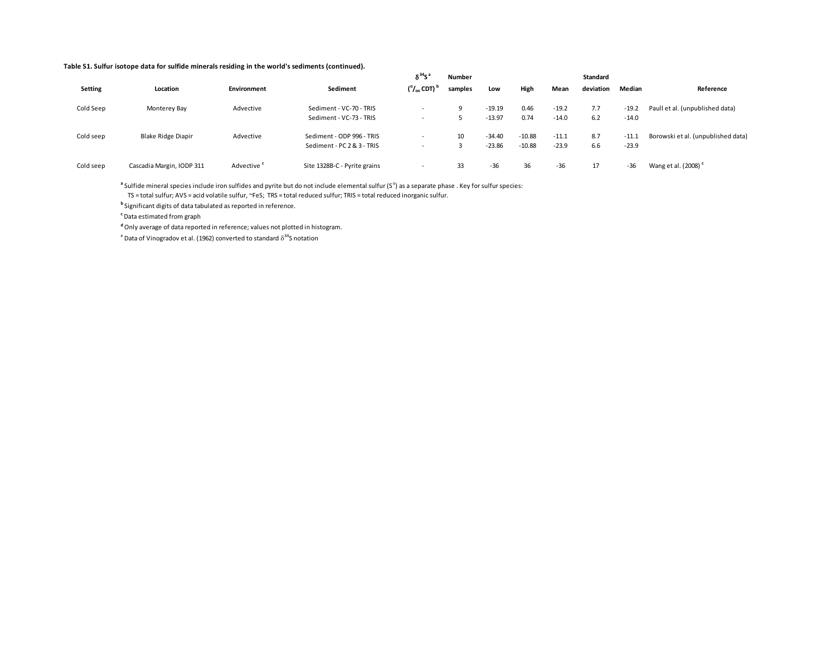|           |                           |                        |                              | $\delta^{34}S$                  | <b>Number</b> |          |          |         | <b>Standard</b> |         |                                    |  |  |  |
|-----------|---------------------------|------------------------|------------------------------|---------------------------------|---------------|----------|----------|---------|-----------------|---------|------------------------------------|--|--|--|
| Setting   | Location                  | Environment            | Sediment                     | $(^\circ/_\infty$ CDT) $^\circ$ | samples       | Low      | High     | Mean    | deviation       | Median  | Reference                          |  |  |  |
| Cold Seep | Monterey Bay              | Advective              | Sediment - VC-70 - TRIS      |                                 |               | $-19.19$ | 0.46     | $-19.2$ | 7.7             | $-19.2$ | Paull et al. (unpublished data)    |  |  |  |
|           |                           |                        | Sediment - VC-73 - TRIS      |                                 |               | $-13.97$ | 0.74     | $-14.0$ | 6.2             | $-14.0$ |                                    |  |  |  |
| Cold seep | Blake Ridge Diapir        | Advective              | Sediment - ODP 996 - TRIS    |                                 | 10            | $-34.40$ | $-10.88$ | $-11.1$ | 8.7             | $-11.1$ | Borowski et al. (unpublished data) |  |  |  |
|           |                           |                        | Sediment - PC 2 & 3 - TRIS   |                                 |               | $-23.86$ | $-10.88$ | $-23.9$ | 6.6             | $-23.9$ |                                    |  |  |  |
| Cold seep | Cascadia Margin, IODP 311 | Advective <sup>c</sup> | Site 1328B-C - Pyrite grains |                                 | 33            | $-36$    | 36       | $-36$   | 17              | $-36$   | Wang et al. (2008) <sup>c</sup>    |  |  |  |

<sup>a</sup> Sulfide mineral species include iron sulfides and pyrite but do not include elemental sulfur (S<sup>o</sup>) as a separate phase . Key for sulfur species: TS = total sulfur; AVS = acid volatile sulfur, ~FeS; TRS = total reduced sulfur; TRIS = total reduced inorganic sulfur.

**b** Significant digits of data tabulated as reported in reference.

**c** Data estimated from graph

**d** Only average of data reported in reference; values not plotted in histogram.

 $\textsuperscript{e}$  Data of Vinogradov et al. (1962) converted to standard  $\delta^{34}$ S notation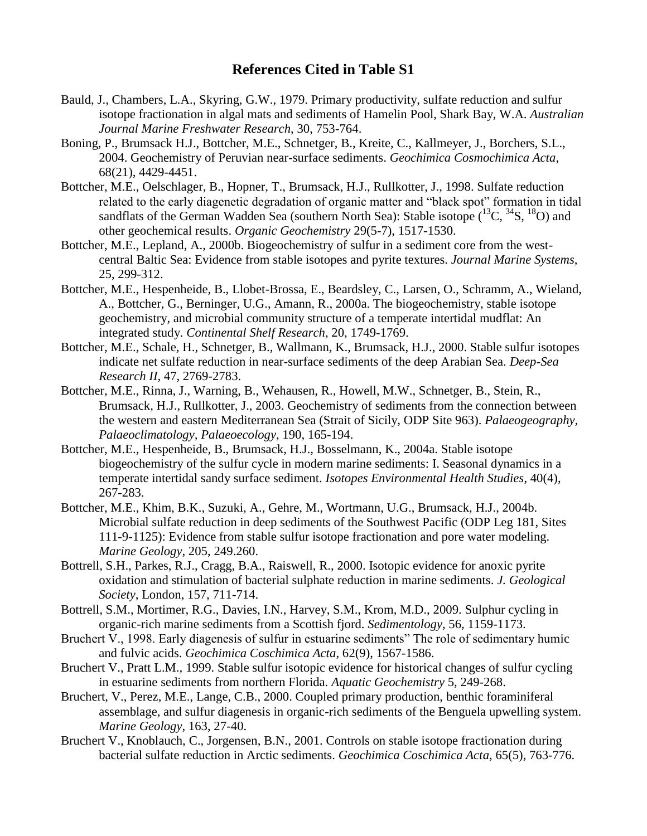## **References Cited in Table S1**

- Bauld, J., Chambers, L.A., Skyring, G.W., 1979. Primary productivity, sulfate reduction and sulfur isotope fractionation in algal mats and sediments of Hamelin Pool, Shark Bay, W.A. *Australian Journal Marine Freshwater Research*, 30, 753-764.
- Boning, P., Brumsack H.J., Bottcher, M.E., Schnetger, B., Kreite, C., Kallmeyer, J., Borchers, S.L., 2004. Geochemistry of Peruvian near-surface sediments. *Geochimica Cosmochimica Acta*, 68(21), 4429-4451.
- Bottcher, M.E., Oelschlager, B., Hopner, T., Brumsack, H.J., Rullkotter, J., 1998. Sulfate reduction related to the early diagenetic degradation of organic matter and "black spot" formation in tidal sandflats of the German Wadden Sea (southern North Sea): Stable isotope  $(^{13}C, ^{34}S, ^{18}O)$  and other geochemical results. *Organic Geochemistry* 29(5-7), 1517-1530.
- Bottcher, M.E., Lepland, A., 2000b. Biogeochemistry of sulfur in a sediment core from the westcentral Baltic Sea: Evidence from stable isotopes and pyrite textures. *Journal Marine Systems*, 25, 299-312.
- Bottcher, M.E., Hespenheide, B., Llobet-Brossa, E., Beardsley, C., Larsen, O., Schramm, A., Wieland, A., Bottcher, G., Berninger, U.G., Amann, R., 2000a. The biogeochemistry, stable isotope geochemistry, and microbial community structure of a temperate intertidal mudflat: An integrated study. *Continental Shelf Research*, 20, 1749-1769.
- Bottcher, M.E., Schale, H., Schnetger, B., Wallmann, K., Brumsack, H.J., 2000. Stable sulfur isotopes indicate net sulfate reduction in near-surface sediments of the deep Arabian Sea. *Deep-Sea Research II*, 47, 2769-2783.
- Bottcher, M.E., Rinna, J., Warning, B., Wehausen, R., Howell, M.W., Schnetger, B., Stein, R., Brumsack, H.J., Rullkotter, J., 2003. Geochemistry of sediments from the connection between the western and eastern Mediterranean Sea (Strait of Sicily, ODP Site 963). *Palaeogeography, Palaeoclimatology, Palaeoecology*, 190, 165-194.
- Bottcher, M.E., Hespenheide, B., Brumsack, H.J., Bosselmann, K., 2004a. Stable isotope biogeochemistry of the sulfur cycle in modern marine sediments: I. Seasonal dynamics in a temperate intertidal sandy surface sediment. *Isotopes Environmental Health Studies*, 40(4), 267-283.
- Bottcher, M.E., Khim, B.K., Suzuki, A., Gehre, M., Wortmann, U.G., Brumsack, H.J., 2004b. Microbial sulfate reduction in deep sediments of the Southwest Pacific (ODP Leg 181, Sites 111-9-1125): Evidence from stable sulfur isotope fractionation and pore water modeling. *Marine Geology*, 205, 249.260.
- Bottrell, S.H., Parkes, R.J., Cragg, B.A., Raiswell, R., 2000. Isotopic evidence for anoxic pyrite oxidation and stimulation of bacterial sulphate reduction in marine sediments. *J. Geological Society*, London, 157, 711-714.
- Bottrell, S.M., Mortimer, R.G., Davies, I.N., Harvey, S.M., Krom, M.D., 2009. Sulphur cycling in organic-rich marine sediments from a Scottish fjord. *Sedimentology*, 56, 1159-1173.
- Bruchert V., 1998. Early diagenesis of sulfur in estuarine sediments" The role of sedimentary humic and fulvic acids. *Geochimica Coschimica Acta*, 62(9), 1567-1586.
- Bruchert V., Pratt L.M., 1999. Stable sulfur isotopic evidence for historical changes of sulfur cycling in estuarine sediments from northern Florida. *Aquatic Geochemistry* 5, 249-268.
- Bruchert, V., Perez, M.E., Lange, C.B., 2000. Coupled primary production, benthic foraminiferal assemblage, and sulfur diagenesis in organic-rich sediments of the Benguela upwelling system. *Marine Geology*, 163, 27-40.
- Bruchert V., Knoblauch, C., Jorgensen, B.N., 2001. Controls on stable isotope fractionation during bacterial sulfate reduction in Arctic sediments. *Geochimica Coschimica Acta*, 65(5), 763-776.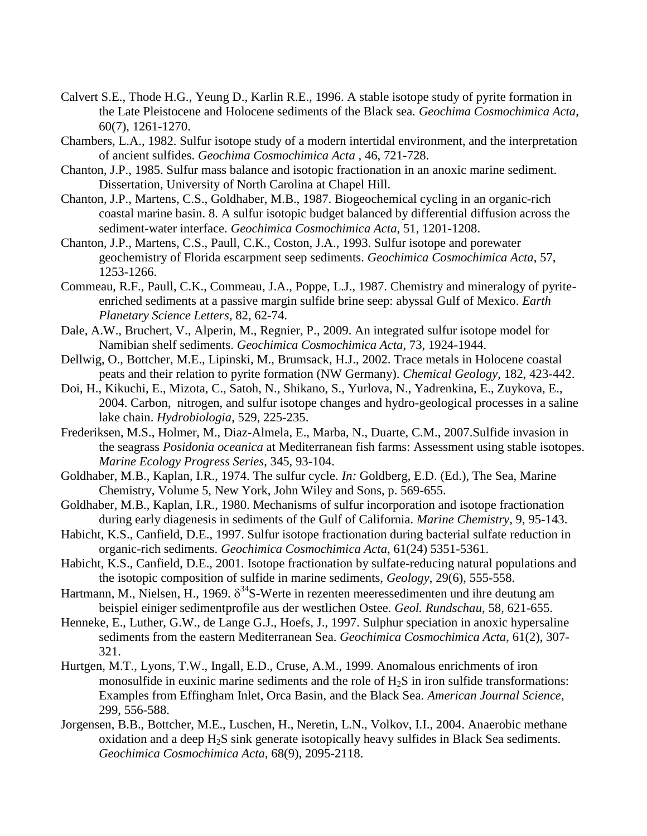- Calvert S.E., Thode H.G., Yeung D., Karlin R.E., 1996. A stable isotope study of pyrite formation in the Late Pleistocene and Holocene sediments of the Black sea. *Geochima Cosmochimica Acta*, 60(7), 1261-1270.
- Chambers, L.A., 1982. Sulfur isotope study of a modern intertidal environment, and the interpretation of ancient sulfides. *Geochima Cosmochimica Acta* , 46, 721-728.
- Chanton, J.P., 1985. Sulfur mass balance and isotopic fractionation in an anoxic marine sediment. Dissertation, University of North Carolina at Chapel Hill.
- Chanton, J.P., Martens, C.S., Goldhaber, M.B., 1987. Biogeochemical cycling in an organic-rich coastal marine basin. 8. A sulfur isotopic budget balanced by differential diffusion across the sediment-water interface. *Geochimica Cosmochimica Acta*, 51, 1201-1208.
- Chanton, J.P., Martens, C.S., Paull, C.K., Coston, J.A., 1993. Sulfur isotope and porewater geochemistry of Florida escarpment seep sediments. *Geochimica Cosmochimica Acta*, 57, 1253-1266.
- Commeau, R.F., Paull, C.K., Commeau, J.A., Poppe, L.J., 1987. Chemistry and mineralogy of pyriteenriched sediments at a passive margin sulfide brine seep: abyssal Gulf of Mexico. *Earth Planetary Science Letters*, 82, 62-74.
- Dale, A.W., Bruchert, V., Alperin, M., Regnier, P., 2009. An integrated sulfur isotope model for Namibian shelf sediments. *Geochimica Cosmochimica Acta*, 73, 1924-1944.
- Dellwig, O., Bottcher, M.E., Lipinski, M., Brumsack, H.J., 2002. Trace metals in Holocene coastal peats and their relation to pyrite formation (NW Germany). *Chemical Geology*, 182, 423-442.
- Doi, H., Kikuchi, E., Mizota, C., Satoh, N., Shikano, S., Yurlova, N., Yadrenkina, E., Zuykova, E., 2004. Carbon, nitrogen, and sulfur isotope changes and hydro-geological processes in a saline lake chain. *Hydrobiologia*, 529, 225-235.
- Frederiksen, M.S., Holmer, M., Diaz-Almela, E., Marba, N., Duarte, C.M., 2007.Sulfide invasion in the seagrass *Posidonia oceanica* at Mediterranean fish farms: Assessment using stable isotopes. *Marine Ecology Progress Series*, 345, 93-104.
- Goldhaber, M.B., Kaplan, I.R., 1974. The sulfur cycle. *In:* Goldberg, E.D. (Ed.), The Sea, Marine Chemistry, Volume 5, New York, John Wiley and Sons, p. 569-655.
- Goldhaber, M.B., Kaplan, I.R., 1980. Mechanisms of sulfur incorporation and isotope fractionation during early diagenesis in sediments of the Gulf of California. *Marine Chemistry*, 9, 95-143.
- Habicht, K.S., Canfield, D.E., 1997. Sulfur isotope fractionation during bacterial sulfate reduction in organic-rich sediments. *Geochimica Cosmochimica Acta*, 61(24) 5351-5361.
- Habicht, K.S., Canfield, D.E., 2001. Isotope fractionation by sulfate-reducing natural populations and the isotopic composition of sulfide in marine sediments, *Geology*, 29(6), 555-558.
- Hartmann, M., Nielsen, H., 1969.  $\delta^{34}$ S-Werte in rezenten meeressedimenten und ihre deutung am beispiel einiger sedimentprofile aus der westlichen Ostee. *Geol. Rundschau*, 58, 621-655.
- Henneke, E., Luther, G.W., de Lange G.J., Hoefs, J., 1997. Sulphur speciation in anoxic hypersaline sediments from the eastern Mediterranean Sea. *Geochimica Cosmochimica Acta*, 61(2), 307- 321.
- Hurtgen, M.T., Lyons, T.W., Ingall, E.D., Cruse, A.M., 1999. Anomalous enrichments of iron monosulfide in euxinic marine sediments and the role of  $H<sub>2</sub>S$  in iron sulfide transformations: Examples from Effingham Inlet, Orca Basin, and the Black Sea. *American Journal Science*, 299, 556-588.
- Jorgensen, B.B., Bottcher, M.E., Luschen, H., Neretin, L.N., Volkov, I.I., 2004. Anaerobic methane oxidation and a deep  $H_2S$  sink generate isotopically heavy sulfides in Black Sea sediments. *Geochimica Cosmochimica Acta*, 68(9), 2095-2118.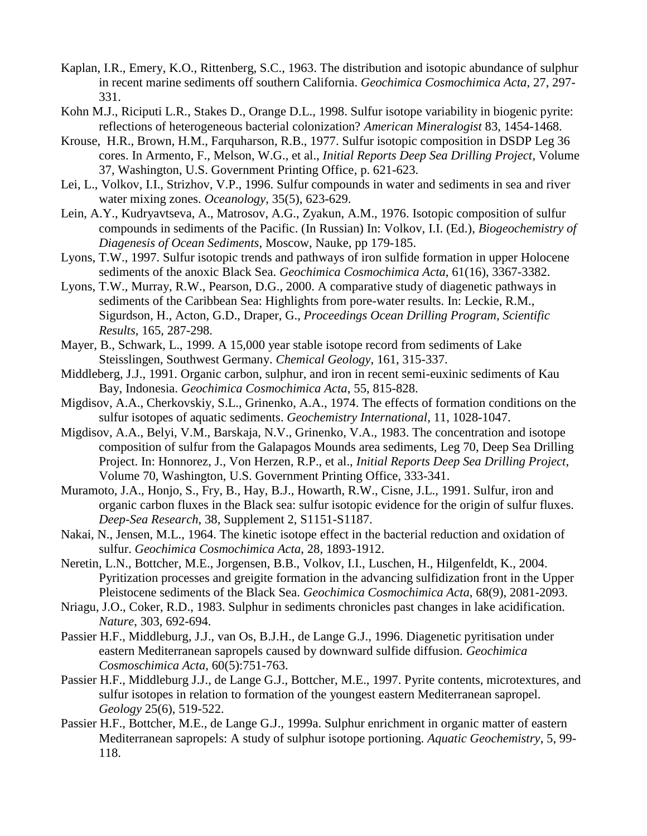- Kaplan, I.R., Emery, K.O., Rittenberg, S.C., 1963. The distribution and isotopic abundance of sulphur in recent marine sediments off southern California. *Geochimica Cosmochimica Acta*, 27, 297- 331.
- Kohn M.J., Riciputi L.R., Stakes D., Orange D.L., 1998. Sulfur isotope variability in biogenic pyrite: reflections of heterogeneous bacterial colonization? *American Mineralogist* 83, 1454-1468.
- Krouse, H.R., Brown, H.M., Farquharson, R.B., 1977. Sulfur isotopic composition in DSDP Leg 36 cores. In Armento, F., Melson, W.G., et al., *Initial Reports Deep Sea Drilling Project*, Volume 37, Washington, U.S. Government Printing Office, p. 621-623.
- Lei, L., Volkov, I.I., Strizhov, V.P., 1996. Sulfur compounds in water and sediments in sea and river water mixing zones. *Oceanology*, 35(5), 623-629.
- Lein, A.Y., Kudryavtseva, A., Matrosov, A.G., Zyakun, A.M., 1976. Isotopic composition of sulfur compounds in sediments of the Pacific. (In Russian) In: Volkov, I.I. (Ed.), *Biogeochemistry of Diagenesis of Ocean Sediments*, Moscow, Nauke, pp 179-185.
- Lyons, T.W., 1997. Sulfur isotopic trends and pathways of iron sulfide formation in upper Holocene sediments of the anoxic Black Sea. *Geochimica Cosmochimica Acta*, 61(16), 3367-3382.
- Lyons, T.W., Murray, R.W., Pearson, D.G., 2000. A comparative study of diagenetic pathways in sediments of the Caribbean Sea: Highlights from pore-water results. In: Leckie, R.M., Sigurdson, H., Acton, G.D., Draper, G., *Proceedings Ocean Drilling Program, Scientific Results*, 165, 287-298.
- Mayer, B., Schwark, L., 1999. A 15,000 year stable isotope record from sediments of Lake Steisslingen, Southwest Germany. *Chemical Geology*, 161, 315-337.
- Middleberg, J.J., 1991. Organic carbon, sulphur, and iron in recent semi-euxinic sediments of Kau Bay, Indonesia. *Geochimica Cosmochimica Acta*, 55, 815-828.
- Migdisov, A.A., Cherkovskiy, S.L., Grinenko, A.A., 1974. The effects of formation conditions on the sulfur isotopes of aquatic sediments. *Geochemistry International*, 11, 1028-1047.
- Migdisov, A.A., Belyi, V.M., Barskaja, N.V., Grinenko, V.A., 1983. The concentration and isotope composition of sulfur from the Galapagos Mounds area sediments, Leg 70, Deep Sea Drilling Project. In: Honnorez, J., Von Herzen, R.P., et al., *Initial Reports Deep Sea Drilling Project*, Volume 70, Washington, U.S. Government Printing Office, 333-341.
- Muramoto, J.A., Honjo, S., Fry, B., Hay, B.J., Howarth, R.W., Cisne, J.L., 1991. Sulfur, iron and organic carbon fluxes in the Black sea: sulfur isotopic evidence for the origin of sulfur fluxes. *Deep-Sea Research*, 38, Supplement 2, S1151-S1187.
- Nakai, N., Jensen, M.L., 1964. The kinetic isotope effect in the bacterial reduction and oxidation of sulfur. *Geochimica Cosmochimica Acta*, 28, 1893-1912.
- Neretin, L.N., Bottcher, M.E., Jorgensen, B.B., Volkov, I.I., Luschen, H., Hilgenfeldt, K., 2004. Pyritization processes and greigite formation in the advancing sulfidization front in the Upper Pleistocene sediments of the Black Sea. *Geochimica Cosmochimica Acta*, 68(9), 2081-2093.
- Nriagu, J.O., Coker, R.D., 1983. Sulphur in sediments chronicles past changes in lake acidification. *Nature*, 303, 692-694.
- Passier H.F., Middleburg, J.J., van Os, B.J.H., de Lange G.J., 1996. Diagenetic pyritisation under eastern Mediterranean sapropels caused by downward sulfide diffusion. *Geochimica Cosmoschimica Acta*, 60(5):751-763.
- Passier H.F., Middleburg J.J., de Lange G.J., Bottcher, M.E., 1997. Pyrite contents, microtextures, and sulfur isotopes in relation to formation of the youngest eastern Mediterranean sapropel. *Geology* 25(6), 519-522.
- Passier H.F., Bottcher, M.E., de Lange G.J., 1999a. Sulphur enrichment in organic matter of eastern Mediterranean sapropels: A study of sulphur isotope portioning. *Aquatic Geochemistry*, 5, 99- 118.